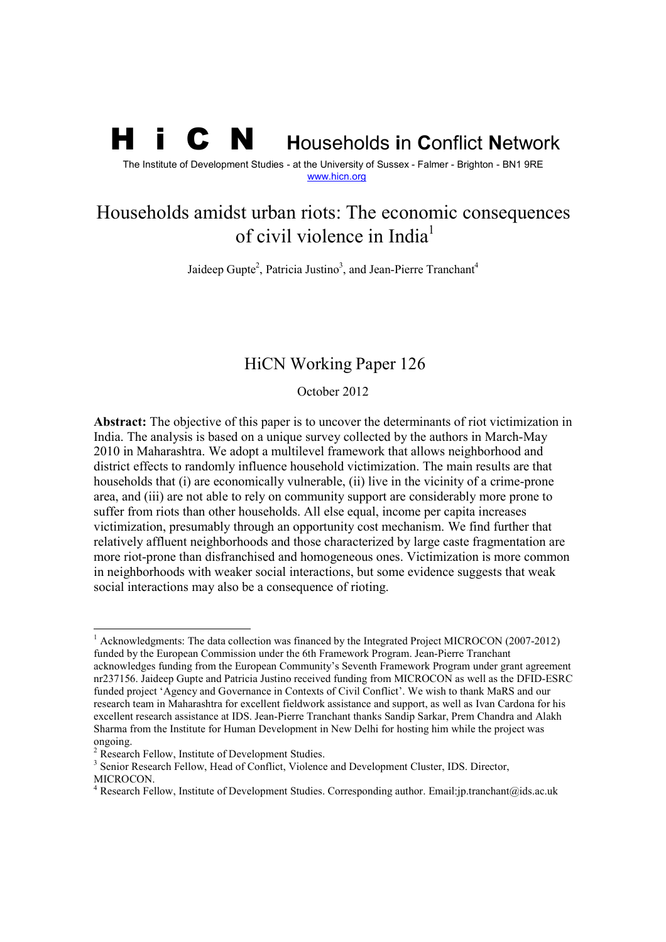# H i C N **<sup>H</sup>**ouseholds **i**n **C**onflict **N**etwork

The Institute of Development Studies - at the University of Sussex - Falmer - Brighton - BN1 9RE www.hicn.org

## Households amidst urban riots: The economic consequences of civil violence in India<sup>1</sup>

Jaideep Gupte<sup>2</sup>, Patricia Justino<sup>3</sup>, and Jean-Pierre Tranchant<sup>4</sup>

## HiCN Working Paper 126

October 2012

**Abstract:** The objective of this paper is to uncover the determinants of riot victimization in India. The analysis is based on a unique survey collected by the authors in March-May 2010 in Maharashtra. We adopt a multilevel framework that allows neighborhood and district effects to randomly influence household victimization. The main results are that households that (i) are economically vulnerable, (ii) live in the vicinity of a crime-prone area, and (iii) are not able to rely on community support are considerably more prone to suffer from riots than other households. All else equal, income per capita increases victimization, presumably through an opportunity cost mechanism. We find further that relatively affluent neighborhoods and those characterized by large caste fragmentation are more riot-prone than disfranchised and homogeneous ones. Victimization is more common in neighborhoods with weaker social interactions, but some evidence suggests that weak social interactions may also be a consequence of rioting.

l

<sup>&</sup>lt;sup>1</sup> Acknowledgments: The data collection was financed by the Integrated Project MICROCON (2007-2012) funded by the European Commission under the 6th Framework Program. Jean-Pierre Tranchant acknowledges funding from the European Community's Seventh Framework Program under grant agreement nr237156. Jaideep Gupte and Patricia Justino received funding from MICROCON as well as the DFID-ESRC funded project 'Agency and Governance in Contexts of Civil Conflict'. We wish to thank MaRS and our research team in Maharashtra for excellent fieldwork assistance and support, as well as Ivan Cardona for his excellent research assistance at IDS. Jean-Pierre Tranchant thanks Sandip Sarkar, Prem Chandra and Alakh Sharma from the Institute for Human Development in New Delhi for hosting him while the project was ongoing.

<sup>&</sup>lt;sup>2</sup> Research Fellow, Institute of Development Studies.

<sup>&</sup>lt;sup>3</sup> Senior Research Fellow, Head of Conflict, Violence and Development Cluster, IDS. Director, MICROCON.

<sup>&</sup>lt;sup>4</sup> Research Fellow, Institute of Development Studies. Corresponding author. Email:jp.tranchant@ids.ac.uk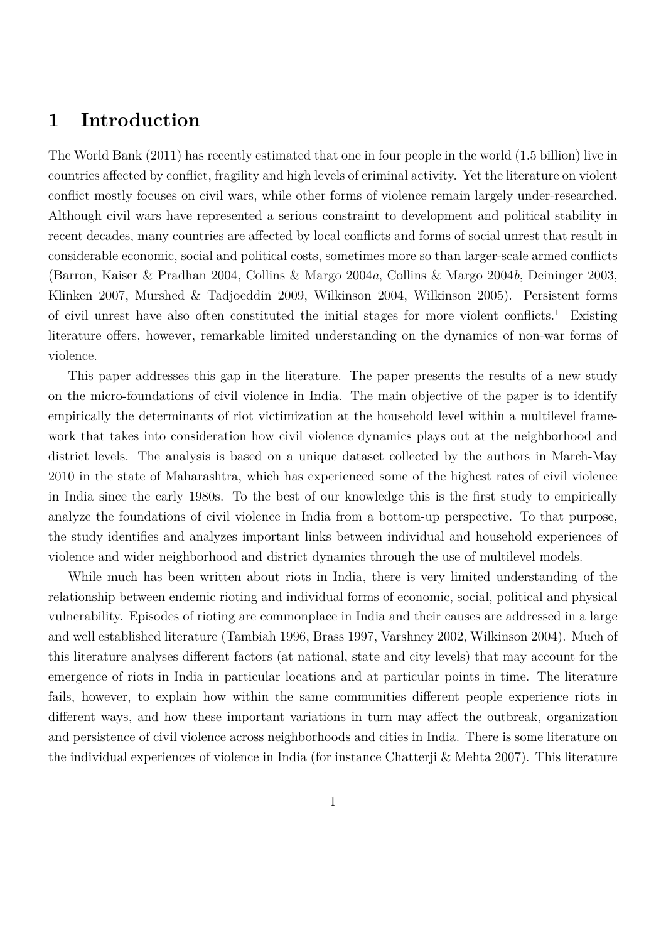## **1 Introduction**

The World Bank (2011) has recently estimated that one in four people in the world (1.5 billion) live in countries affected by conflict, fragility and high levels of criminal activity. Yet the literature on violent conflict mostly focuses on civil wars, while other forms of violence remain largely under-researched. Although civil wars have represented a serious constraint to development and political stability in recent decades, many countries are affected by local conflicts and forms of social unrest that result in considerable economic, social and political costs, sometimes more so than larger-scale armed conflicts (Barron, Kaiser & Pradhan 2004, Collins & Margo 2004*a*, Collins & Margo 2004*b*, Deininger 2003, Klinken 2007, Murshed & Tadjoeddin 2009, Wilkinson 2004, Wilkinson 2005). Persistent forms of civil unrest have also often constituted the initial stages for more violent conflicts.<sup>1</sup> Existing literature offers, however, remarkable limited understanding on the dynamics of non-war forms of violence.

<span id="page-1-0"></span>This paper addresses this gap in the literature. The paper presents the results of a new study on the micro-foundations of civil violence in India. The main objective of the paper is to identify empirically the determinants of riot victimization at the household level within a multilevel framework that takes into consideration how civil violence dynamics plays out at the neighborhood and district levels. The analysis is based on a unique dataset collected by the authors in March-May 2010 in the state of Maharashtra, which has experienced some of the highest rates of civil violence in India since the early 1980s. To the best of our knowledge this is the first study to empirically analyze the foundations of civil violence in India from a bottom-up perspective. To that purpose, the study identifies and analyzes important links between individual and household experiences of violence and wider neighborhood and district dynamics through the use of multilevel models.

While much has been written about riots in India, there is very limited understanding of the relationship between endemic rioting and individual forms of economic, social, political and physical vulnerability. Episodes of rioting are commonplace in India and their causes are addressed in a large and well established literature (Tambiah 1996, Brass 1997, Varshney 2002, Wilkinson 2004). Much of this literature analyses different factors (at national, state and city levels) that may account for the emergence of riots in India in particular locations and at particular points in time. The literature fails, however, to explain how within the same communities different people experience riots in different ways, and how these important variations in turn may affect the outbreak, organization and persistence of civil violence across neighborhoods and cities in India. There is some literature on the individual experiences of violence in India (for instance Chatterji & Mehta 2007). This literature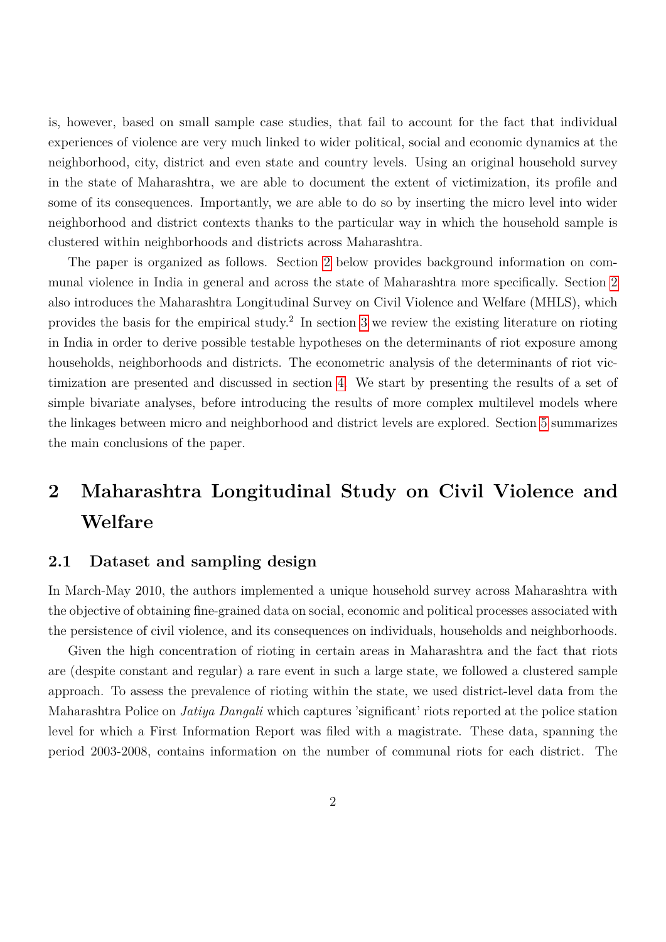is, however, based on small sample case studies, that fail to account for the fact that individual experiences of violence are very much linked to wider political, social and economic dynamics at the neighborhood, city, district and even state and country levels. Using an original household survey in the state of Maharashtra, we are able to document the extent of victimization, its profile and some of its consequences. Importantly, we are able to do so by inserting the micro level into wider neighborhood and district contexts thanks to the particular way in which the household sample is clustered within neighborhoods and districts across Maharashtra.

The paper is organized as follows. Section [2](#page-1-0) below provides background information on communal violence in India in general and across the state of Maharashtra more specifically. Section [2](#page-1-0) also introduces the Maharashtra Longitudinal Survey on Civil Violence and Welfare (MHLS), which provides the basis for the empirical study.<sup>2</sup> In section [3](#page-4-0) we review the existing literature on rioting in India in order to derive possible testable hypotheses on the determinants of riot exposure among households, neighborhoods and districts. The econometric analysis of the determinants of riot victimization are presented and discussed in section [4.](#page-8-0) We start by presenting the results of a set of simple bivariate analyses, before introducing the results of more complex multilevel models where the linkages between micro and neighborhood and district levels are explored. Section [5](#page-20-0) summarizes the main conclusions of the paper.

## **2 Maharashtra Longitudinal Study on Civil Violence and Welfare**

#### **2.1 Dataset and sampling design**

In March-May 2010, the authors implemented a unique household survey across Maharashtra with the objective of obtaining fine-grained data on social, economic and political processes associated with the persistence of civil violence, and its consequences on individuals, households and neighborhoods.

Given the high concentration of rioting in certain areas in Maharashtra and the fact that riots are (despite constant and regular) a rare event in such a large state, we followed a clustered sample approach. To assess the prevalence of rioting within the state, we used district-level data from the Maharashtra Police on *Jatiya Dangali* which captures 'significant' riots reported at the police station level for which a First Information Report was filed with a magistrate. These data, spanning the period 2003-2008, contains information on the number of communal riots for each district. The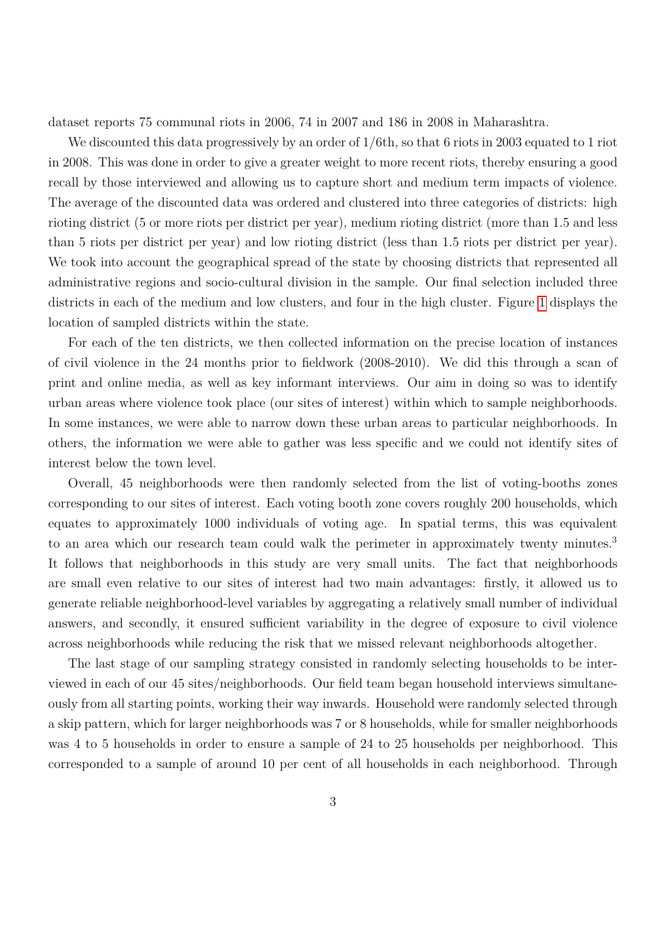dataset reports 75 communal riots in 2006, 74 in 2007 and 186 in 2008 in Maharashtra.

We discounted this data progressively by an order of  $1/6$ th, so that 6 riots in 2003 equated to 1 riot in 2008. This was done in order to give a greater weight to more recent riots, thereby ensuring a good recall by those interviewed and allowing us to capture short and medium term impacts of violence. The average of the discounted data was ordered and clustered into three categories of districts: high rioting district (5 or more riots per district per year), medium rioting district (more than 1.5 and less than 5 riots per district per year) and low rioting district (less than 1.5 riots per district per year). We took into account the geographical spread of the state by choosing districts that represented all administrative regions and socio-cultural division in the sample. Our final selection included three districts in each of the medium and low clusters, and four in the high cluster. Figure [1](#page-26-0) displays the location of sampled districts within the state.

For each of the ten districts, we then collected information on the precise location of instances of civil violence in the 24 months prior to fieldwork (2008-2010). We did this through a scan of print and online media, as well as key informant interviews. Our aim in doing so was to identify urban areas where violence took place (our sites of interest) within which to sample neighborhoods. In some instances, we were able to narrow down these urban areas to particular neighborhoods. In others, the information we were able to gather was less specific and we could not identify sites of interest below the town level.

Overall, 45 neighborhoods were then randomly selected from the list of voting-booths zones corresponding to our sites of interest. Each voting booth zone covers roughly 200 households, which equates to approximately 1000 individuals of voting age. In spatial terms, this was equivalent to an area which our research team could walk the perimeter in approximately twenty minutes.<sup>3</sup> It follows that neighborhoods in this study are very small units. The fact that neighborhoods are small even relative to our sites of interest had two main advantages: firstly, it allowed us to generate reliable neighborhood-level variables by aggregating a relatively small number of individual answers, and secondly, it ensured sufficient variability in the degree of exposure to civil violence across neighborhoods while reducing the risk that we missed relevant neighborhoods altogether.

The last stage of our sampling strategy consisted in randomly selecting households to be interviewed in each of our 45 sites/neighborhoods. Our field team began household interviews simultaneously from all starting points, working their way inwards. Household were randomly selected through a skip pattern, which for larger neighborhoods was 7 or 8 households, while for smaller neighborhoods was 4 to 5 households in order to ensure a sample of 24 to 25 households per neighborhood. This corresponded to a sample of around 10 per cent of all households in each neighborhood. Through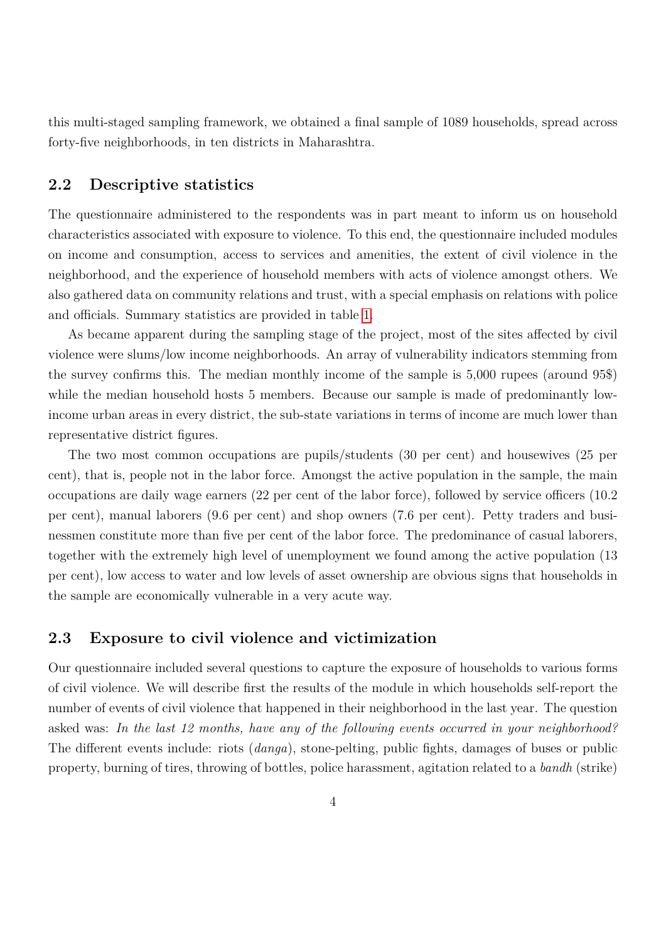this multi-staged sampling framework, we obtained a final sample of 1089 households, spread across forty-five neighborhoods, in ten districts in Maharashtra.

#### **2.2 Descriptive statistics**

The questionnaire administered to the respondents was in part meant to inform us on household characteristics associated with exposure to violence. To this end, the questionnaire included modules on income and consumption, access to services and amenities, the extent of civil violence in the neighborhood, and the experience of household members with acts of violence amongst others. We also gathered data on community relations and trust, with a special emphasis on relations with police and officials. Summary statistics are provided in table [1.](#page-27-0)

As became apparent during the sampling stage of the project, most of the sites affected by civil violence were slums/low income neighborhoods. An array of vulnerability indicators stemming from the survey confirms this. The median monthly income of the sample is 5,000 rupees (around 95\$) while the median household hosts 5 members. Because our sample is made of predominantly lowincome urban areas in every district, the sub-state variations in terms of income are much lower than representative district figures.

The two most common occupations are pupils/students (30 per cent) and housewives (25 per cent), that is, people not in the labor force. Amongst the active population in the sample, the main occupations are daily wage earners (22 per cent of the labor force), followed by service officers (10.2 per cent), manual laborers (9.6 per cent) and shop owners (7.6 per cent). Petty traders and businessmen constitute more than five per cent of the labor force. The predominance of casual laborers, together with the extremely high level of unemployment we found among the active population (13 per cent), low access to water and low levels of asset ownership are obvious signs that households in the sample are economically vulnerable in a very acute way.

#### **2.3 Exposure to civil violence and victimization**

<span id="page-4-0"></span>Our questionnaire included several questions to capture the exposure of households to various forms of civil violence. We will describe first the results of the module in which households self-report the number of events of civil violence that happened in their neighborhood in the last year. The question asked was: *In the last 12 months, have any of the following events occurred in your neighborhood?* The different events include: riots (*danga*), stone-pelting, public fights, damages of buses or public property, burning of tires, throwing of bottles, police harassment, agitation related to a *bandh* (strike)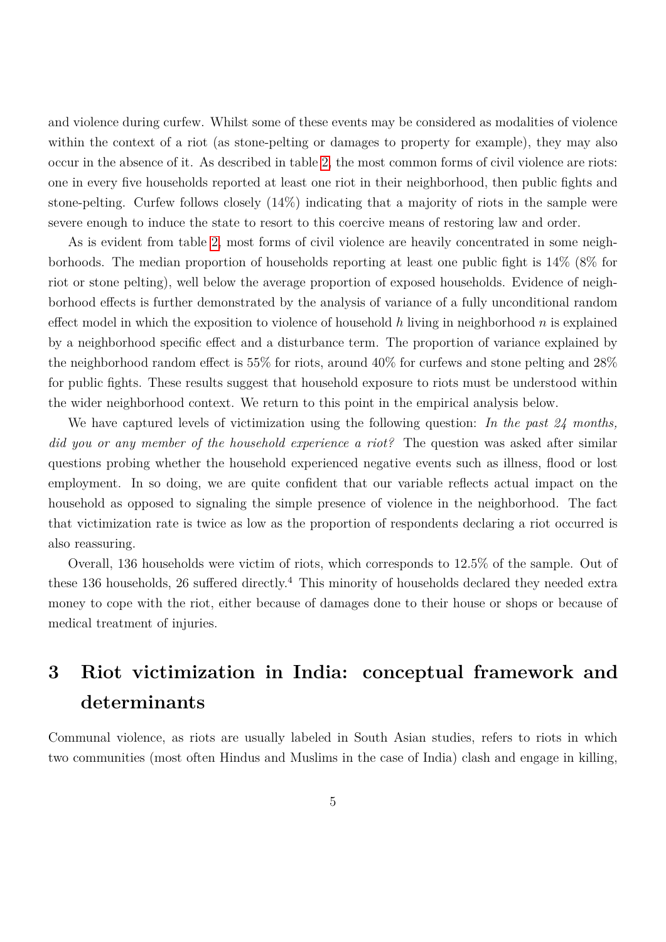and violence during curfew. Whilst some of these events may be considered as modalities of violence within the context of a riot (as stone-pelting or damages to property for example), they may also occur in the absence of it. As described in table [2,](#page-29-0) the most common forms of civil violence are riots: one in every five households reported at least one riot in their neighborhood, then public fights and stone-pelting. Curfew follows closely (14%) indicating that a majority of riots in the sample were severe enough to induce the state to resort to this coercive means of restoring law and order.

As is evident from table [2,](#page-29-0) most forms of civil violence are heavily concentrated in some neighborhoods. The median proportion of households reporting at least one public fight is 14% (8% for riot or stone pelting), well below the average proportion of exposed households. Evidence of neighborhood effects is further demonstrated by the analysis of variance of a fully unconditional random effect model in which the exposition to violence of household *h* living in neighborhood *n* is explained by a neighborhood specific effect and a disturbance term. The proportion of variance explained by the neighborhood random effect is 55% for riots, around 40% for curfews and stone pelting and 28% for public fights. These results suggest that household exposure to riots must be understood within the wider neighborhood context. We return to this point in the empirical analysis below.

We have captured levels of victimization using the following question: *In the past 24 months, did you or any member of the household experience a riot?* The question was asked after similar questions probing whether the household experienced negative events such as illness, flood or lost employment. In so doing, we are quite confident that our variable reflects actual impact on the household as opposed to signaling the simple presence of violence in the neighborhood. The fact that victimization rate is twice as low as the proportion of respondents declaring a riot occurred is also reassuring.

Overall, 136 households were victim of riots, which corresponds to 12.5% of the sample. Out of these 136 households, 26 suffered directly.<sup>4</sup> This minority of households declared they needed extra money to cope with the riot, either because of damages done to their house or shops or because of medical treatment of injuries.

## **3 Riot victimization in India: conceptual framework and determinants**

Communal violence, as riots are usually labeled in South Asian studies, refers to riots in which two communities (most often Hindus and Muslims in the case of India) clash and engage in killing,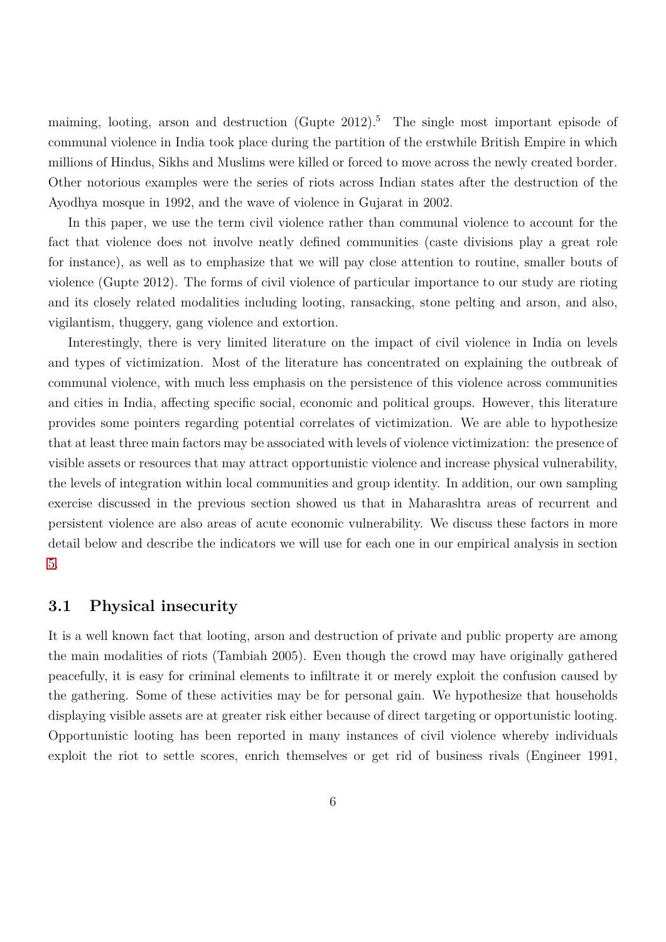maiming, looting, arson and destruction (Gupte 2012).<sup>5</sup> The single most important episode of communal violence in India took place during the partition of the erstwhile British Empire in which millions of Hindus, Sikhs and Muslims were killed or forced to move across the newly created border. Other notorious examples were the series of riots across Indian states after the destruction of the Ayodhya mosque in 1992, and the wave of violence in Gujarat in 2002.

In this paper, we use the term civil violence rather than communal violence to account for the fact that violence does not involve neatly defined communities (caste divisions play a great role for instance), as well as to emphasize that we will pay close attention to routine, smaller bouts of violence (Gupte 2012). The forms of civil violence of particular importance to our study are rioting and its closely related modalities including looting, ransacking, stone pelting and arson, and also, vigilantism, thuggery, gang violence and extortion.

Interestingly, there is very limited literature on the impact of civil violence in India on levels and types of victimization. Most of the literature has concentrated on explaining the outbreak of communal violence, with much less emphasis on the persistence of this violence across communities and cities in India, affecting specific social, economic and political groups. However, this literature provides some pointers regarding potential correlates of victimization. We are able to hypothesize that at least three main factors may be associated with levels of violence victimization: the presence of visible assets or resources that may attract opportunistic violence and increase physical vulnerability, the levels of integration within local communities and group identity. In addition, our own sampling exercise discussed in the previous section showed us that in Maharashtra areas of recurrent and persistent violence are also areas of acute economic vulnerability. We discuss these factors in more detail below and describe the indicators we will use for each one in our empirical analysis in section [5.](#page-32-0)

#### **3.1 Physical insecurity**

It is a well known fact that looting, arson and destruction of private and public property are among the main modalities of riots (Tambiah 2005). Even though the crowd may have originally gathered peacefully, it is easy for criminal elements to infiltrate it or merely exploit the confusion caused by the gathering. Some of these activities may be for personal gain. We hypothesize that households displaying visible assets are at greater risk either because of direct targeting or opportunistic looting. Opportunistic looting has been reported in many instances of civil violence whereby individuals exploit the riot to settle scores, enrich themselves or get rid of business rivals (Engineer 1991,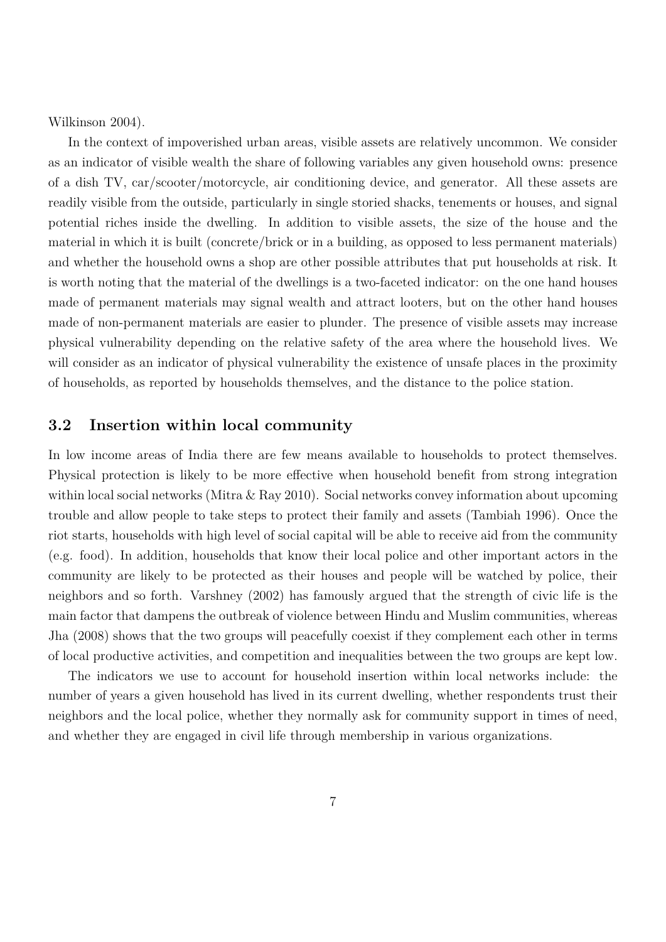Wilkinson 2004).

In the context of impoverished urban areas, visible assets are relatively uncommon. We consider as an indicator of visible wealth the share of following variables any given household owns: presence of a dish TV, car/scooter/motorcycle, air conditioning device, and generator. All these assets are readily visible from the outside, particularly in single storied shacks, tenements or houses, and signal potential riches inside the dwelling. In addition to visible assets, the size of the house and the material in which it is built (concrete/brick or in a building, as opposed to less permanent materials) and whether the household owns a shop are other possible attributes that put households at risk. It is worth noting that the material of the dwellings is a two-faceted indicator: on the one hand houses made of permanent materials may signal wealth and attract looters, but on the other hand houses made of non-permanent materials are easier to plunder. The presence of visible assets may increase physical vulnerability depending on the relative safety of the area where the household lives. We will consider as an indicator of physical vulnerability the existence of unsafe places in the proximity of households, as reported by households themselves, and the distance to the police station.

#### **3.2 Insertion within local community**

In low income areas of India there are few means available to households to protect themselves. Physical protection is likely to be more effective when household benefit from strong integration within local social networks (Mitra & Ray 2010). Social networks convey information about upcoming trouble and allow people to take steps to protect their family and assets (Tambiah 1996). Once the riot starts, households with high level of social capital will be able to receive aid from the community (e.g. food). In addition, households that know their local police and other important actors in the community are likely to be protected as their houses and people will be watched by police, their neighbors and so forth. Varshney (2002) has famously argued that the strength of civic life is the main factor that dampens the outbreak of violence between Hindu and Muslim communities, whereas Jha (2008) shows that the two groups will peacefully coexist if they complement each other in terms of local productive activities, and competition and inequalities between the two groups are kept low.

The indicators we use to account for household insertion within local networks include: the number of years a given household has lived in its current dwelling, whether respondents trust their neighbors and the local police, whether they normally ask for community support in times of need, and whether they are engaged in civil life through membership in various organizations.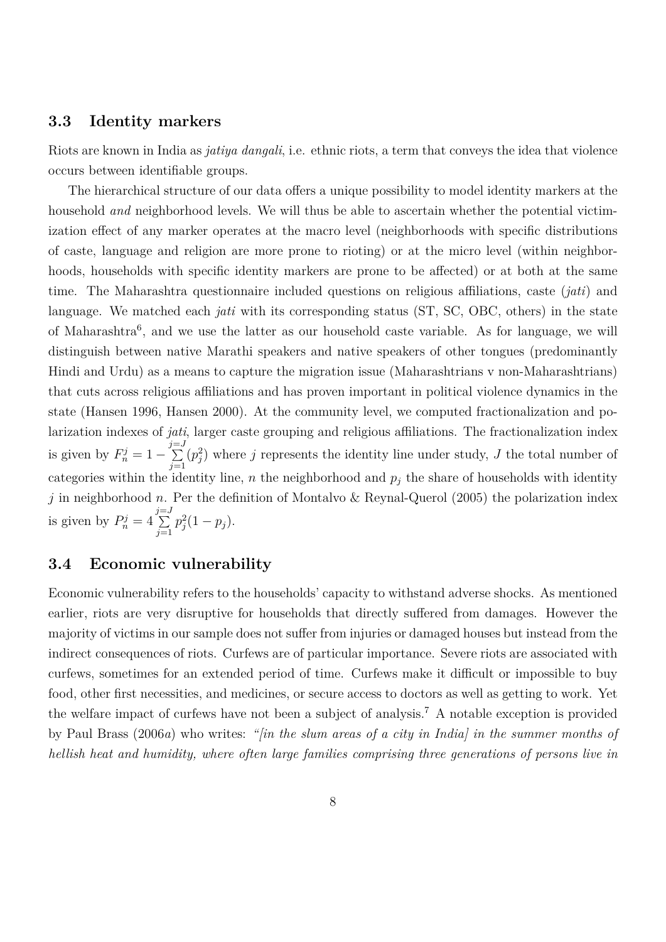#### **3.3 Identity markers**

Riots are known in India as *jatiya dangali*, i.e. ethnic riots, a term that conveys the idea that violence occurs between identifiable groups.

The hierarchical structure of our data offers a unique possibility to model identity markers at the household *and* neighborhood levels. We will thus be able to ascertain whether the potential victimization effect of any marker operates at the macro level (neighborhoods with specific distributions of caste, language and religion are more prone to rioting) or at the micro level (within neighborhoods, households with specific identity markers are prone to be affected) or at both at the same time. The Maharashtra questionnaire included questions on religious affiliations, caste (*jati*) and language. We matched each *jati* with its corresponding status (ST, SC, OBC, others) in the state of Maharashtra<sup>6</sup>, and we use the latter as our household caste variable. As for language, we will distinguish between native Marathi speakers and native speakers of other tongues (predominantly Hindi and Urdu) as a means to capture the migration issue (Maharashtrians v non-Maharashtrians) that cuts across religious affiliations and has proven important in political violence dynamics in the state (Hansen 1996, Hansen 2000). At the community level, we computed fractionalization and polarization indexes of *jati*, larger caste grouping and religious affiliations. The fractionalization index is given by  $F_n^j = 1 - \sum_{n=1}^{j=J}$ *j*=1  $(p_j^2)$  where *j* represents the identity line under study, *J* the total number of categories within the identity line,  $n$  the neighborhood and  $p_j$  the share of households with identity *j* in neighborhood *n*. Per the definition of Montalvo & Reynal-Querol (2005) the polarization index is given by  $P_n^j = 4 \sum_{n=1}^{j=J}$ *j*=1  $p_j^2(1-p_j)$ .

#### <span id="page-8-0"></span>**3.4 Economic vulnerability**

Economic vulnerability refers to the households' capacity to withstand adverse shocks. As mentioned earlier, riots are very disruptive for households that directly suffered from damages. However the majority of victims in our sample does not suffer from injuries or damaged houses but instead from the indirect consequences of riots. Curfews are of particular importance. Severe riots are associated with curfews, sometimes for an extended period of time. Curfews make it difficult or impossible to buy food, other first necessities, and medicines, or secure access to doctors as well as getting to work. Yet the welfare impact of curfews have not been a subject of analysis.<sup>7</sup> A notable exception is provided by Paul Brass (2006*a*) who writes: *"[in the slum areas of a city in India] in the summer months of hellish heat and humidity, where often large families comprising three generations of persons live in*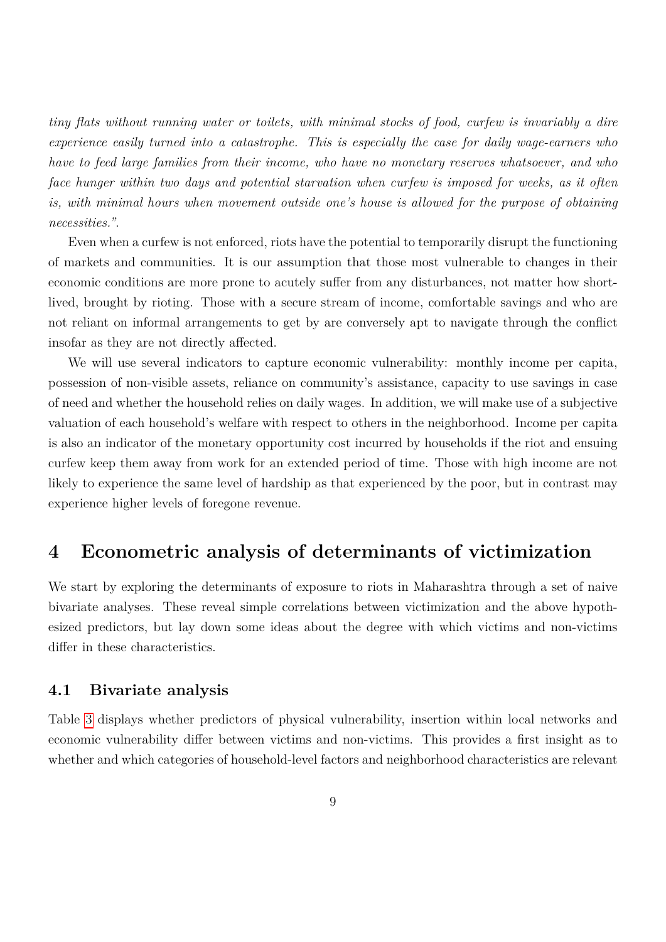*tiny flats without running water or toilets, with minimal stocks of food, curfew is invariably a dire experience easily turned into a catastrophe. This is especially the case for daily wage-earners who have to feed large families from their income, who have no monetary reserves whatsoever, and who face hunger within two days and potential starvation when curfew is imposed for weeks, as it often is, with minimal hours when movement outside one's house is allowed for the purpose of obtaining necessities."*.

Even when a curfew is not enforced, riots have the potential to temporarily disrupt the functioning of markets and communities. It is our assumption that those most vulnerable to changes in their economic conditions are more prone to acutely suffer from any disturbances, not matter how shortlived, brought by rioting. Those with a secure stream of income, comfortable savings and who are not reliant on informal arrangements to get by are conversely apt to navigate through the conflict insofar as they are not directly affected.

We will use several indicators to capture economic vulnerability: monthly income per capita, possession of non-visible assets, reliance on community's assistance, capacity to use savings in case of need and whether the household relies on daily wages. In addition, we will make use of a subjective valuation of each household's welfare with respect to others in the neighborhood. Income per capita is also an indicator of the monetary opportunity cost incurred by households if the riot and ensuing curfew keep them away from work for an extended period of time. Those with high income are not likely to experience the same level of hardship as that experienced by the poor, but in contrast may experience higher levels of foregone revenue.

### **4 Econometric analysis of determinants of victimization**

We start by exploring the determinants of exposure to riots in Maharashtra through a set of naive bivariate analyses. These reveal simple correlations between victimization and the above hypothesized predictors, but lay down some ideas about the degree with which victims and non-victims differ in these characteristics.

#### **4.1 Bivariate analysis**

Table [3](#page-30-0) displays whether predictors of physical vulnerability, insertion within local networks and economic vulnerability differ between victims and non-victims. This provides a first insight as to whether and which categories of household-level factors and neighborhood characteristics are relevant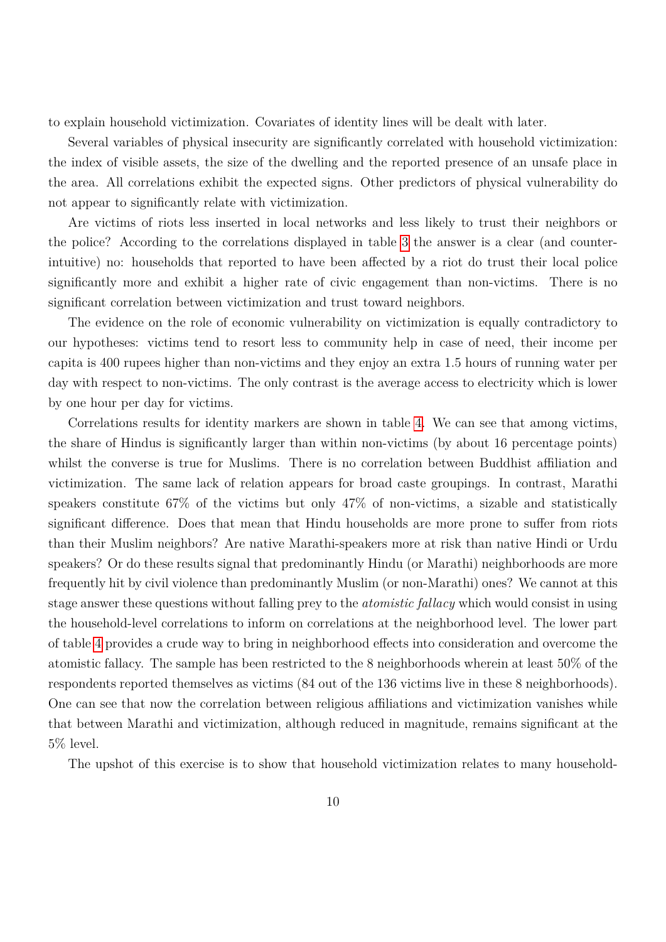to explain household victimization. Covariates of identity lines will be dealt with later.

Several variables of physical insecurity are significantly correlated with household victimization: the index of visible assets, the size of the dwelling and the reported presence of an unsafe place in the area. All correlations exhibit the expected signs. Other predictors of physical vulnerability do not appear to significantly relate with victimization.

Are victims of riots less inserted in local networks and less likely to trust their neighbors or the police? According to the correlations displayed in table [3](#page-30-0) the answer is a clear (and counterintuitive) no: households that reported to have been affected by a riot do trust their local police significantly more and exhibit a higher rate of civic engagement than non-victims. There is no significant correlation between victimization and trust toward neighbors.

The evidence on the role of economic vulnerability on victimization is equally contradictory to our hypotheses: victims tend to resort less to community help in case of need, their income per capita is 400 rupees higher than non-victims and they enjoy an extra 1.5 hours of running water per day with respect to non-victims. The only contrast is the average access to electricity which is lower by one hour per day for victims.

Correlations results for identity markers are shown in table [4.](#page-31-0) We can see that among victims, the share of Hindus is significantly larger than within non-victims (by about 16 percentage points) whilst the converse is true for Muslims. There is no correlation between Buddhist affiliation and victimization. The same lack of relation appears for broad caste groupings. In contrast, Marathi speakers constitute 67% of the victims but only 47% of non-victims, a sizable and statistically significant difference. Does that mean that Hindu households are more prone to suffer from riots than their Muslim neighbors? Are native Marathi-speakers more at risk than native Hindi or Urdu speakers? Or do these results signal that predominantly Hindu (or Marathi) neighborhoods are more frequently hit by civil violence than predominantly Muslim (or non-Marathi) ones? We cannot at this stage answer these questions without falling prey to the *atomistic fallacy* which would consist in using the household-level correlations to inform on correlations at the neighborhood level. The lower part of table [4](#page-31-0) provides a crude way to bring in neighborhood effects into consideration and overcome the atomistic fallacy. The sample has been restricted to the 8 neighborhoods wherein at least 50% of the respondents reported themselves as victims (84 out of the 136 victims live in these 8 neighborhoods). One can see that now the correlation between religious affiliations and victimization vanishes while that between Marathi and victimization, although reduced in magnitude, remains significant at the 5% level.

The upshot of this exercise is to show that household victimization relates to many household-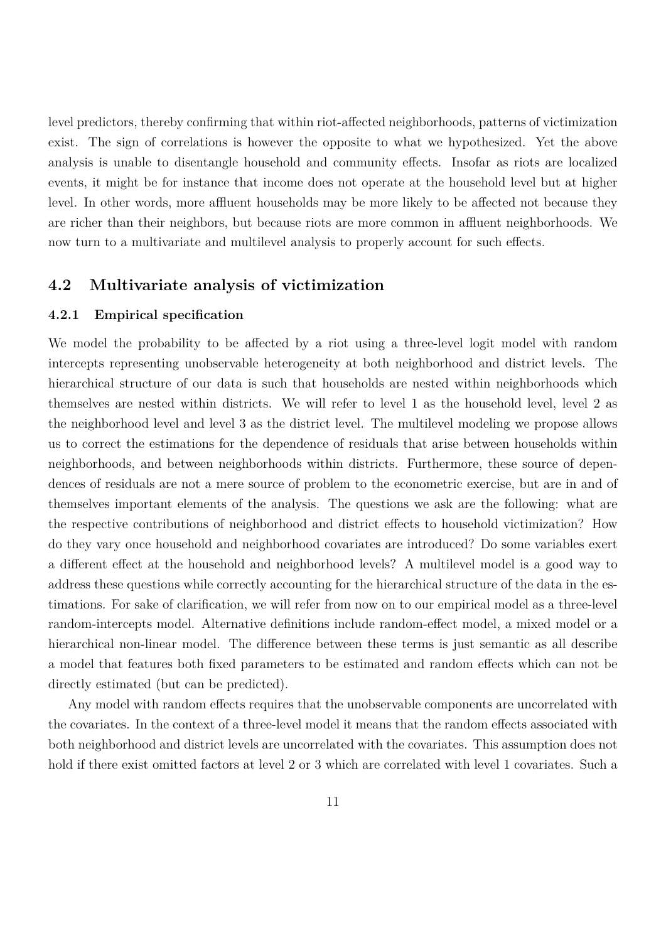level predictors, thereby confirming that within riot-affected neighborhoods, patterns of victimization exist. The sign of correlations is however the opposite to what we hypothesized. Yet the above analysis is unable to disentangle household and community effects. Insofar as riots are localized events, it might be for instance that income does not operate at the household level but at higher level. In other words, more affluent households may be more likely to be affected not because they are richer than their neighbors, but because riots are more common in affluent neighborhoods. We now turn to a multivariate and multilevel analysis to properly account for such effects.

#### **4.2 Multivariate analysis of victimization**

#### <span id="page-11-0"></span>**4.2.1 Empirical specification**

We model the probability to be affected by a riot using a three-level logit model with random intercepts representing unobservable heterogeneity at both neighborhood and district levels. The hierarchical structure of our data is such that households are nested within neighborhoods which themselves are nested within districts. We will refer to level 1 as the household level, level 2 as the neighborhood level and level 3 as the district level. The multilevel modeling we propose allows us to correct the estimations for the dependence of residuals that arise between households within neighborhoods, and between neighborhoods within districts. Furthermore, these source of dependences of residuals are not a mere source of problem to the econometric exercise, but are in and of themselves important elements of the analysis. The questions we ask are the following: what are the respective contributions of neighborhood and district effects to household victimization? How do they vary once household and neighborhood covariates are introduced? Do some variables exert a different effect at the household and neighborhood levels? A multilevel model is a good way to address these questions while correctly accounting for the hierarchical structure of the data in the estimations. For sake of clarification, we will refer from now on to our empirical model as a three-level random-intercepts model. Alternative definitions include random-effect model, a mixed model or a hierarchical non-linear model. The difference between these terms is just semantic as all describe a model that features both fixed parameters to be estimated and random effects which can not be directly estimated (but can be predicted).

Any model with random effects requires that the unobservable components are uncorrelated with the covariates. In the context of a three-level model it means that the random effects associated with both neighborhood and district levels are uncorrelated with the covariates. This assumption does not hold if there exist omitted factors at level 2 or 3 which are correlated with level 1 covariates. Such a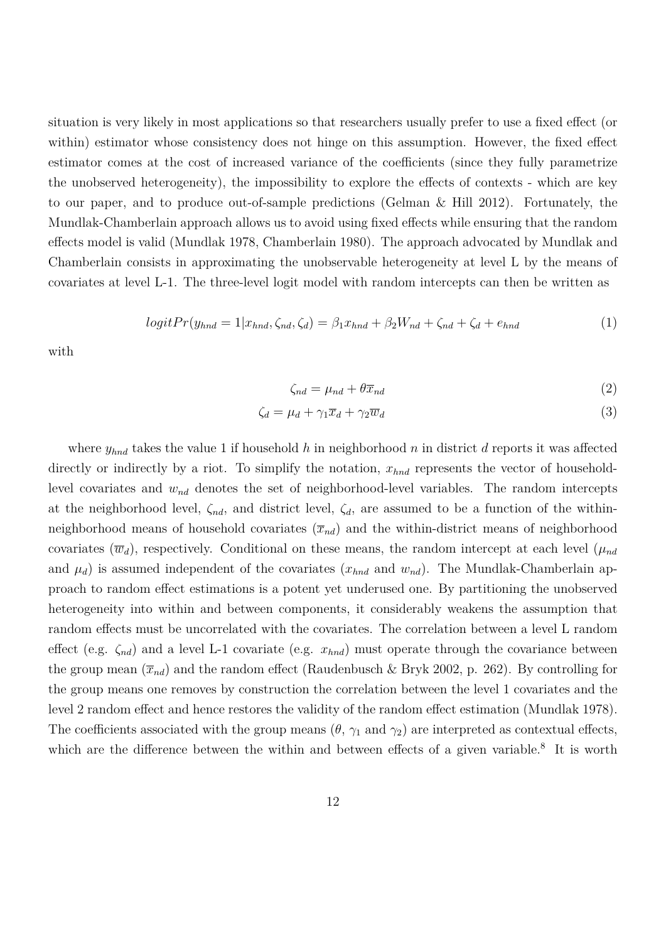situation is very likely in most applications so that researchers usually prefer to use a fixed effect (or within) estimator whose consistency does not hinge on this assumption. However, the fixed effect estimator comes at the cost of increased variance of the coefficients (since they fully parametrize the unobserved heterogeneity), the impossibility to explore the effects of contexts - which are key to our paper, and to produce out-of-sample predictions (Gelman & Hill 2012). Fortunately, the Mundlak-Chamberlain approach allows us to avoid using fixed effects while ensuring that the random effects model is valid (Mundlak 1978, Chamberlain 1980). The approach advocated by Mundlak and Chamberlain consists in approximating the unobservable heterogeneity at level L by the means of covariates at level L-1. The three-level logit model with random intercepts can then be written as

$$
logitPr(y_{hnd} = 1|x_{hnd}, \zeta_{nd}, \zeta_d) = \beta_1 x_{hnd} + \beta_2 W_{nd} + \zeta_{nd} + \zeta_d + e_{hnd}
$$
\n(1)

with

$$
\zeta_{nd} = \mu_{nd} + \theta \overline{x}_{nd} \tag{2}
$$

$$
\zeta_d = \mu_d + \gamma_1 \overline{x}_d + \gamma_2 \overline{w}_d \tag{3}
$$

where *yhnd* takes the value 1 if household *h* in neighborhood *n* in district *d* reports it was affected directly or indirectly by a riot. To simplify the notation,  $x_{hnd}$  represents the vector of householdlevel covariates and *wnd* denotes the set of neighborhood-level variables. The random intercepts at the neighborhood level,  $\zeta_{nd}$ , and district level,  $\zeta_{d}$ , are assumed to be a function of the withinneighborhood means of household covariates  $(\bar{x}_{nd})$  and the within-district means of neighborhood covariates  $(\overline{w}_d)$ , respectively. Conditional on these means, the random intercept at each level  $(\mu_{nd}$ and  $\mu_d$ ) is assumed independent of the covariates  $(x_{hnd}$  and  $w_{nd}$ ). The Mundlak-Chamberlain approach to random effect estimations is a potent yet underused one. By partitioning the unobserved heterogeneity into within and between components, it considerably weakens the assumption that random effects must be uncorrelated with the covariates. The correlation between a level L random effect (e.g. *ζnd*) and a level L-1 covariate (e.g. *xhnd*) must operate through the covariance between the group mean  $(\bar{x}_{nd})$  and the random effect (Raudenbusch & Bryk 2002, p. 262). By controlling for the group means one removes by construction the correlation between the level 1 covariates and the level 2 random effect and hence restores the validity of the random effect estimation (Mundlak 1978). The coefficients associated with the group means  $(\theta, \gamma_1 \text{ and } \gamma_2)$  are interpreted as contextual effects, which are the difference between the within and between effects of a given variable.<sup>8</sup> It is worth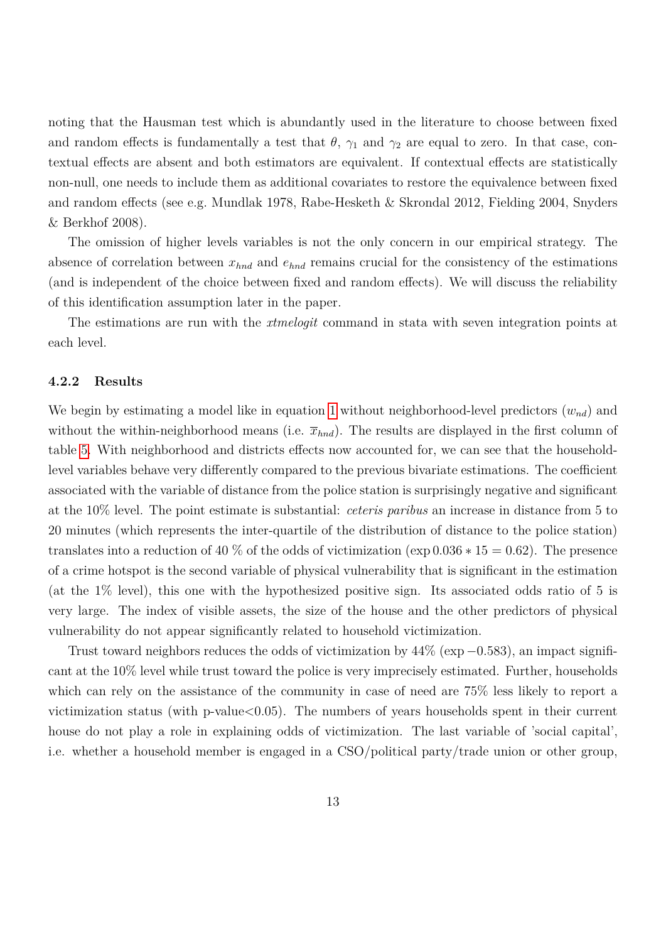noting that the Hausman test which is abundantly used in the literature to choose between fixed and random effects is fundamentally a test that  $\theta$ ,  $\gamma_1$  and  $\gamma_2$  are equal to zero. In that case, contextual effects are absent and both estimators are equivalent. If contextual effects are statistically non-null, one needs to include them as additional covariates to restore the equivalence between fixed and random effects (see e.g. Mundlak 1978, Rabe-Hesketh & Skrondal 2012, Fielding 2004, Snyders & Berkhof 2008).

The omission of higher levels variables is not the only concern in our empirical strategy. The absence of correlation between  $x_{hnd}$  and  $e_{hnd}$  remains crucial for the consistency of the estimations (and is independent of the choice between fixed and random effects). We will discuss the reliability of this identification assumption later in the paper.

The estimations are run with the *xtmelogit* command in stata with seven integration points at each level.

#### **4.2.2 Results**

We begin by estimating a model like in equation [1](#page-11-0) without neighborhood-level predictors  $(w_{nd})$  and without the within-neighborhood means (i.e.  $\bar{x}_{hnd}$ ). The results are displayed in the first column of table [5.](#page-32-0) With neighborhood and districts effects now accounted for, we can see that the householdlevel variables behave very differently compared to the previous bivariate estimations. The coefficient associated with the variable of distance from the police station is surprisingly negative and significant at the 10% level. The point estimate is substantial: *ceteris paribus* an increase in distance from 5 to 20 minutes (which represents the inter-quartile of the distribution of distance to the police station) translates into a reduction of 40 % of the odds of victimization ( $\exp 0.036 * 15 = 0.62$ ). The presence of a crime hotspot is the second variable of physical vulnerability that is significant in the estimation (at the 1% level), this one with the hypothesized positive sign. Its associated odds ratio of 5 is very large. The index of visible assets, the size of the house and the other predictors of physical vulnerability do not appear significantly related to household victimization.

Trust toward neighbors reduces the odds of victimization by 44% (exp−0*.*583), an impact significant at the 10% level while trust toward the police is very imprecisely estimated. Further, households which can rely on the assistance of the community in case of need are 75% less likely to report a victimization status (with  $p$ -value $<0.05$ ). The numbers of years households spent in their current house do not play a role in explaining odds of victimization. The last variable of 'social capital', i.e. whether a household member is engaged in a CSO/political party/trade union or other group,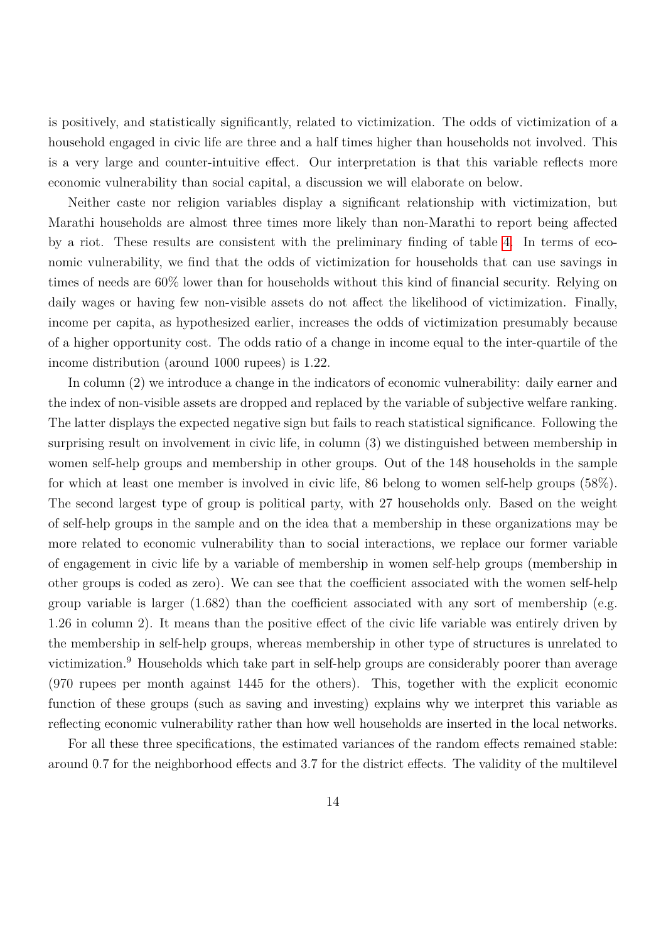is positively, and statistically significantly, related to victimization. The odds of victimization of a household engaged in civic life are three and a half times higher than households not involved. This is a very large and counter-intuitive effect. Our interpretation is that this variable reflects more economic vulnerability than social capital, a discussion we will elaborate on below.

Neither caste nor religion variables display a significant relationship with victimization, but Marathi households are almost three times more likely than non-Marathi to report being affected by a riot. These results are consistent with the preliminary finding of table [4.](#page-31-0) In terms of economic vulnerability, we find that the odds of victimization for households that can use savings in times of needs are 60% lower than for households without this kind of financial security. Relying on daily wages or having few non-visible assets do not affect the likelihood of victimization. Finally, income per capita, as hypothesized earlier, increases the odds of victimization presumably because of a higher opportunity cost. The odds ratio of a change in income equal to the inter-quartile of the income distribution (around 1000 rupees) is 1.22.

In column (2) we introduce a change in the indicators of economic vulnerability: daily earner and the index of non-visible assets are dropped and replaced by the variable of subjective welfare ranking. The latter displays the expected negative sign but fails to reach statistical significance. Following the surprising result on involvement in civic life, in column (3) we distinguished between membership in women self-help groups and membership in other groups. Out of the 148 households in the sample for which at least one member is involved in civic life, 86 belong to women self-help groups (58%). The second largest type of group is political party, with 27 households only. Based on the weight of self-help groups in the sample and on the idea that a membership in these organizations may be more related to economic vulnerability than to social interactions, we replace our former variable of engagement in civic life by a variable of membership in women self-help groups (membership in other groups is coded as zero). We can see that the coefficient associated with the women self-help group variable is larger (1.682) than the coefficient associated with any sort of membership (e.g. 1.26 in column 2). It means than the positive effect of the civic life variable was entirely driven by the membership in self-help groups, whereas membership in other type of structures is unrelated to victimization.<sup>9</sup> Households which take part in self-help groups are considerably poorer than average (970 rupees per month against 1445 for the others). This, together with the explicit economic function of these groups (such as saving and investing) explains why we interpret this variable as reflecting economic vulnerability rather than how well households are inserted in the local networks.

For all these three specifications, the estimated variances of the random effects remained stable: around 0.7 for the neighborhood effects and 3.7 for the district effects. The validity of the multilevel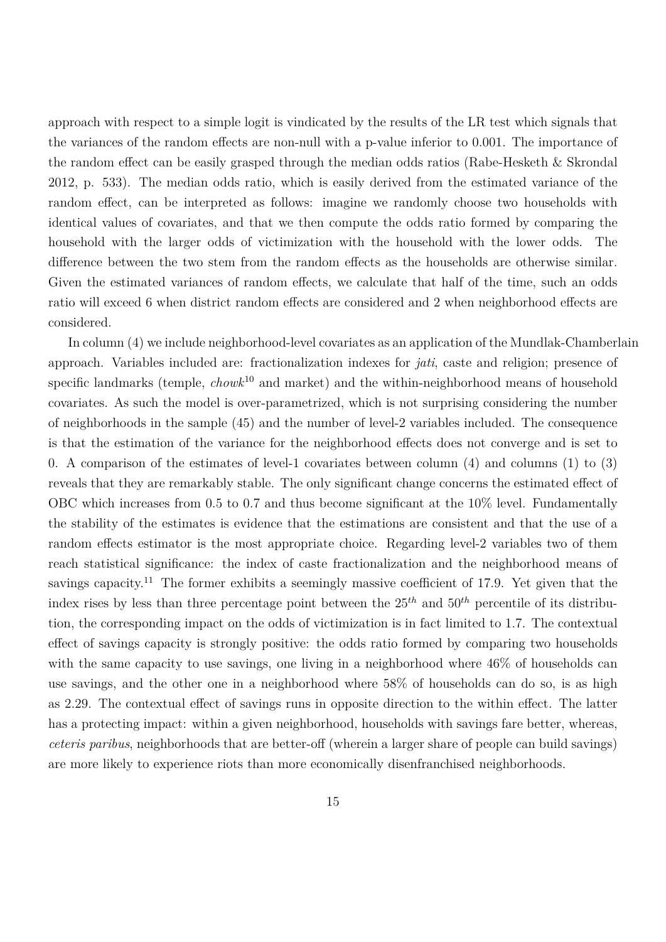approach with respect to a simple logit is vindicated by the results of the LR test which signals that the variances of the random effects are non-null with a p-value inferior to 0.001. The importance of the random effect can be easily grasped through the median odds ratios (Rabe-Hesketh & Skrondal 2012, p. 533). The median odds ratio, which is easily derived from the estimated variance of the random effect, can be interpreted as follows: imagine we randomly choose two households with identical values of covariates, and that we then compute the odds ratio formed by comparing the household with the larger odds of victimization with the household with the lower odds. The difference between the two stem from the random effects as the households are otherwise similar. Given the estimated variances of random effects, we calculate that half of the time, such an odds ratio will exceed 6 when district random effects are considered and 2 when neighborhood effects are considered.

In column (4) we include neighborhood-level covariates as an application of the Mundlak-Chamberlain approach. Variables included are: fractionalization indexes for *jati*, caste and religion; presence of specific landmarks (temple, *chowk*<sup>10</sup> and market) and the within-neighborhood means of household covariates. As such the model is over-parametrized, which is not surprising considering the number of neighborhoods in the sample (45) and the number of level-2 variables included. The consequence is that the estimation of the variance for the neighborhood effects does not converge and is set to 0. A comparison of the estimates of level-1 covariates between column (4) and columns (1) to (3) reveals that they are remarkably stable. The only significant change concerns the estimated effect of OBC which increases from 0.5 to 0.7 and thus become significant at the 10% level. Fundamentally the stability of the estimates is evidence that the estimations are consistent and that the use of a random effects estimator is the most appropriate choice. Regarding level-2 variables two of them reach statistical significance: the index of caste fractionalization and the neighborhood means of savings capacity.<sup>11</sup> The former exhibits a seemingly massive coefficient of 17.9. Yet given that the index rises by less than three percentage point between the  $25<sup>th</sup>$  and  $50<sup>th</sup>$  percentile of its distribution, the corresponding impact on the odds of victimization is in fact limited to 1.7. The contextual effect of savings capacity is strongly positive: the odds ratio formed by comparing two households with the same capacity to use savings, one living in a neighborhood where 46% of households can use savings, and the other one in a neighborhood where 58% of households can do so, is as high as 2.29. The contextual effect of savings runs in opposite direction to the within effect. The latter has a protecting impact: within a given neighborhood, households with savings fare better, whereas, *ceteris paribus*, neighborhoods that are better-off (wherein a larger share of people can build savings) are more likely to experience riots than more economically disenfranchised neighborhoods.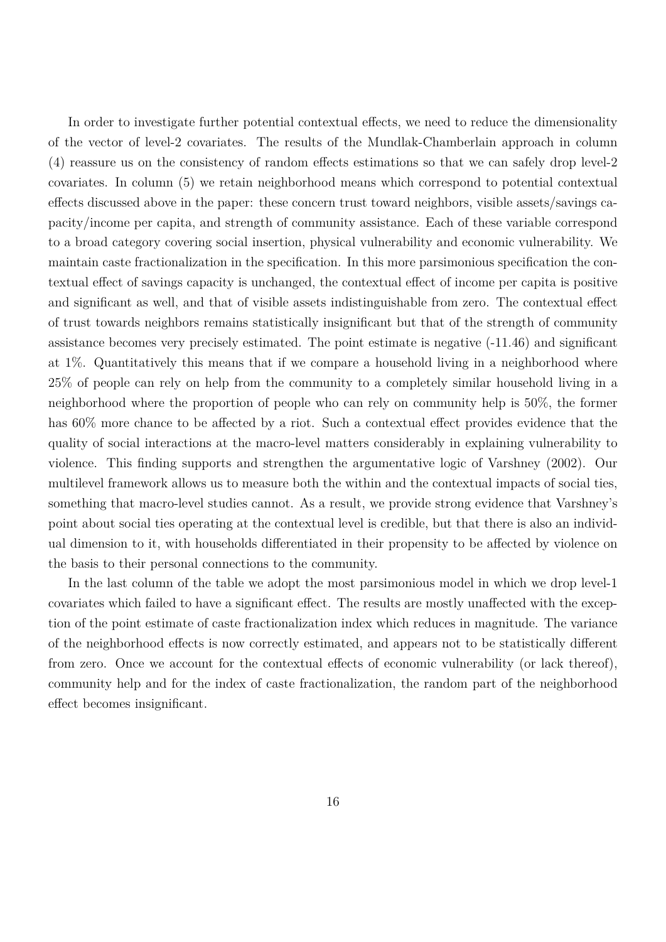In order to investigate further potential contextual effects, we need to reduce the dimensionality of the vector of level-2 covariates. The results of the Mundlak-Chamberlain approach in column (4) reassure us on the consistency of random effects estimations so that we can safely drop level-2 covariates. In column (5) we retain neighborhood means which correspond to potential contextual effects discussed above in the paper: these concern trust toward neighbors, visible assets/savings capacity/income per capita, and strength of community assistance. Each of these variable correspond to a broad category covering social insertion, physical vulnerability and economic vulnerability. We maintain caste fractionalization in the specification. In this more parsimonious specification the contextual effect of savings capacity is unchanged, the contextual effect of income per capita is positive and significant as well, and that of visible assets indistinguishable from zero. The contextual effect of trust towards neighbors remains statistically insignificant but that of the strength of community assistance becomes very precisely estimated. The point estimate is negative (-11.46) and significant at 1%. Quantitatively this means that if we compare a household living in a neighborhood where 25% of people can rely on help from the community to a completely similar household living in a neighborhood where the proportion of people who can rely on community help is 50%, the former has  $60\%$  more chance to be affected by a riot. Such a contextual effect provides evidence that the quality of social interactions at the macro-level matters considerably in explaining vulnerability to violence. This finding supports and strengthen the argumentative logic of Varshney (2002). Our multilevel framework allows us to measure both the within and the contextual impacts of social ties, something that macro-level studies cannot. As a result, we provide strong evidence that Varshney's point about social ties operating at the contextual level is credible, but that there is also an individual dimension to it, with households differentiated in their propensity to be affected by violence on the basis to their personal connections to the community.

In the last column of the table we adopt the most parsimonious model in which we drop level-1 covariates which failed to have a significant effect. The results are mostly unaffected with the exception of the point estimate of caste fractionalization index which reduces in magnitude. The variance of the neighborhood effects is now correctly estimated, and appears not to be statistically different from zero. Once we account for the contextual effects of economic vulnerability (or lack thereof), community help and for the index of caste fractionalization, the random part of the neighborhood effect becomes insignificant.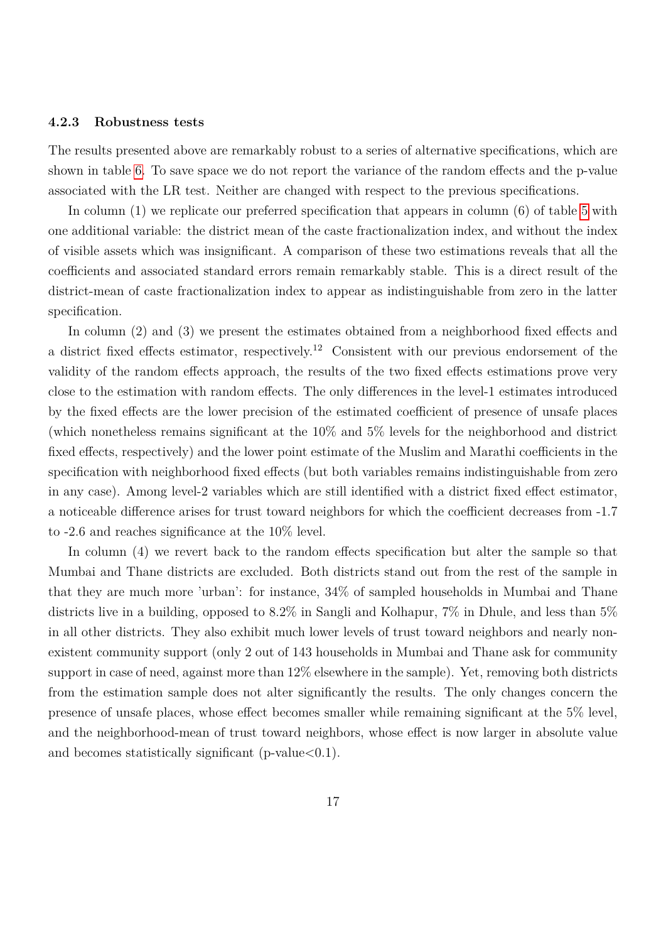#### **4.2.3 Robustness tests**

The results presented above are remarkably robust to a series of alternative specifications, which are shown in table [6.](#page-35-0) To save space we do not report the variance of the random effects and the p-value associated with the LR test. Neither are changed with respect to the previous specifications.

In column (1) we replicate our preferred specification that appears in column (6) of table [5](#page-32-0) with one additional variable: the district mean of the caste fractionalization index, and without the index of visible assets which was insignificant. A comparison of these two estimations reveals that all the coefficients and associated standard errors remain remarkably stable. This is a direct result of the district-mean of caste fractionalization index to appear as indistinguishable from zero in the latter specification.

In column (2) and (3) we present the estimates obtained from a neighborhood fixed effects and a district fixed effects estimator, respectively.<sup>12</sup> Consistent with our previous endorsement of the validity of the random effects approach, the results of the two fixed effects estimations prove very close to the estimation with random effects. The only differences in the level-1 estimates introduced by the fixed effects are the lower precision of the estimated coefficient of presence of unsafe places (which nonetheless remains significant at the 10% and 5% levels for the neighborhood and district fixed effects, respectively) and the lower point estimate of the Muslim and Marathi coefficients in the specification with neighborhood fixed effects (but both variables remains indistinguishable from zero in any case). Among level-2 variables which are still identified with a district fixed effect estimator, a noticeable difference arises for trust toward neighbors for which the coefficient decreases from -1.7 to -2.6 and reaches significance at the 10% level.

In column (4) we revert back to the random effects specification but alter the sample so that Mumbai and Thane districts are excluded. Both districts stand out from the rest of the sample in that they are much more 'urban': for instance, 34% of sampled households in Mumbai and Thane districts live in a building, opposed to 8.2% in Sangli and Kolhapur, 7% in Dhule, and less than 5% in all other districts. They also exhibit much lower levels of trust toward neighbors and nearly nonexistent community support (only 2 out of 143 households in Mumbai and Thane ask for community support in case of need, against more than 12% elsewhere in the sample). Yet, removing both districts from the estimation sample does not alter significantly the results. The only changes concern the presence of unsafe places, whose effect becomes smaller while remaining significant at the 5% level, and the neighborhood-mean of trust toward neighbors, whose effect is now larger in absolute value and becomes statistically significant (p-value $< 0.1$ ).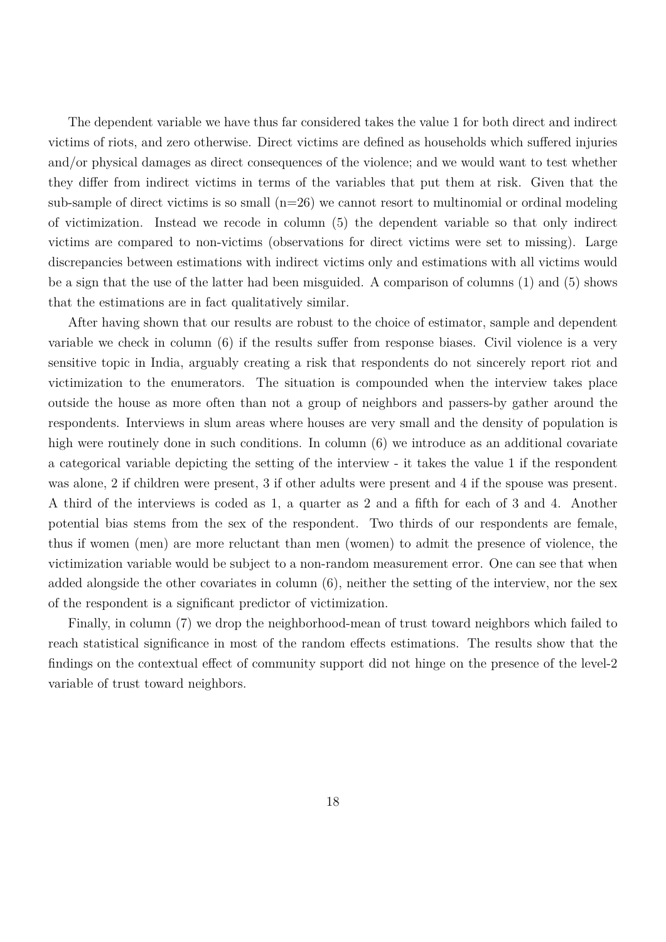The dependent variable we have thus far considered takes the value 1 for both direct and indirect victims of riots, and zero otherwise. Direct victims are defined as households which suffered injuries and/or physical damages as direct consequences of the violence; and we would want to test whether they differ from indirect victims in terms of the variables that put them at risk. Given that the sub-sample of direct victims is so small  $(n=26)$  we cannot resort to multinomial or ordinal modeling of victimization. Instead we recode in column (5) the dependent variable so that only indirect victims are compared to non-victims (observations for direct victims were set to missing). Large discrepancies between estimations with indirect victims only and estimations with all victims would be a sign that the use of the latter had been misguided. A comparison of columns (1) and (5) shows that the estimations are in fact qualitatively similar.

After having shown that our results are robust to the choice of estimator, sample and dependent variable we check in column (6) if the results suffer from response biases. Civil violence is a very sensitive topic in India, arguably creating a risk that respondents do not sincerely report riot and victimization to the enumerators. The situation is compounded when the interview takes place outside the house as more often than not a group of neighbors and passers-by gather around the respondents. Interviews in slum areas where houses are very small and the density of population is high were routinely done in such conditions. In column (6) we introduce as an additional covariate a categorical variable depicting the setting of the interview - it takes the value 1 if the respondent was alone, 2 if children were present, 3 if other adults were present and 4 if the spouse was present. A third of the interviews is coded as 1, a quarter as 2 and a fifth for each of 3 and 4. Another potential bias stems from the sex of the respondent. Two thirds of our respondents are female, thus if women (men) are more reluctant than men (women) to admit the presence of violence, the victimization variable would be subject to a non-random measurement error. One can see that when added alongside the other covariates in column (6), neither the setting of the interview, nor the sex of the respondent is a significant predictor of victimization.

Finally, in column (7) we drop the neighborhood-mean of trust toward neighbors which failed to reach statistical significance in most of the random effects estimations. The results show that the findings on the contextual effect of community support did not hinge on the presence of the level-2 variable of trust toward neighbors.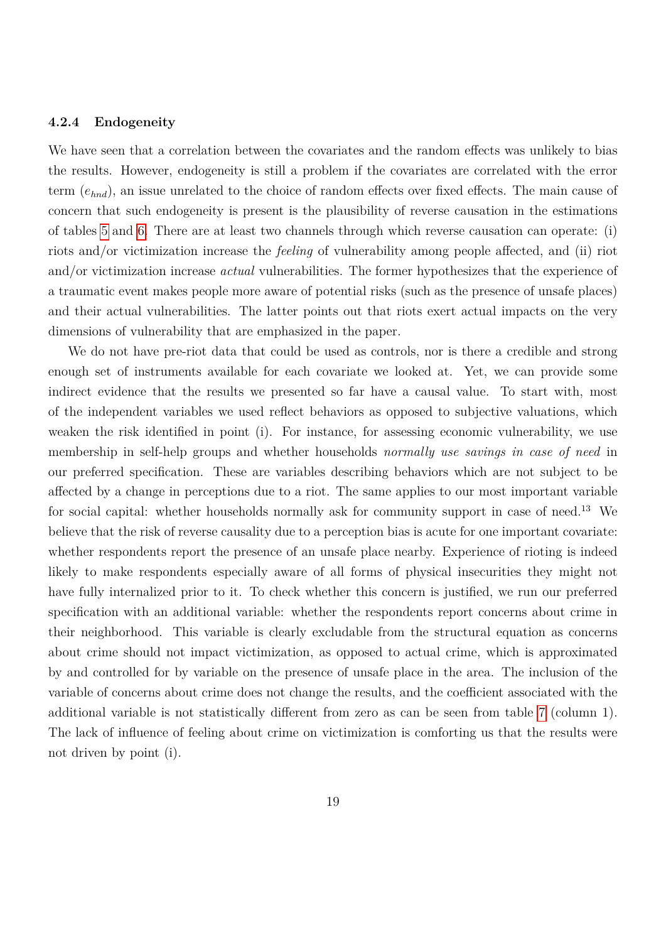#### **4.2.4 Endogeneity**

We have seen that a correlation between the covariates and the random effects was unlikely to bias the results. However, endogeneity is still a problem if the covariates are correlated with the error term (*ehnd*), an issue unrelated to the choice of random effects over fixed effects. The main cause of concern that such endogeneity is present is the plausibility of reverse causation in the estimations of tables [5](#page-32-0) and [6.](#page-35-0) There are at least two channels through which reverse causation can operate: (i) riots and/or victimization increase the *feeling* of vulnerability among people affected, and (ii) riot and/or victimization increase *actual* vulnerabilities. The former hypothesizes that the experience of a traumatic event makes people more aware of potential risks (such as the presence of unsafe places) and their actual vulnerabilities. The latter points out that riots exert actual impacts on the very dimensions of vulnerability that are emphasized in the paper.

We do not have pre-riot data that could be used as controls, nor is there a credible and strong enough set of instruments available for each covariate we looked at. Yet, we can provide some indirect evidence that the results we presented so far have a causal value. To start with, most of the independent variables we used reflect behaviors as opposed to subjective valuations, which weaken the risk identified in point (i). For instance, for assessing economic vulnerability, we use membership in self-help groups and whether households *normally use savings in case of need* in our preferred specification. These are variables describing behaviors which are not subject to be affected by a change in perceptions due to a riot. The same applies to our most important variable for social capital: whether households normally ask for community support in case of need.<sup>13</sup> We believe that the risk of reverse causality due to a perception bias is acute for one important covariate: whether respondents report the presence of an unsafe place nearby. Experience of rioting is indeed likely to make respondents especially aware of all forms of physical insecurities they might not have fully internalized prior to it. To check whether this concern is justified, we run our preferred specification with an additional variable: whether the respondents report concerns about crime in their neighborhood. This variable is clearly excludable from the structural equation as concerns about crime should not impact victimization, as opposed to actual crime, which is approximated by and controlled for by variable on the presence of unsafe place in the area. The inclusion of the variable of concerns about crime does not change the results, and the coefficient associated with the additional variable is not statistically different from zero as can be seen from table [7](#page-36-0) (column 1). The lack of influence of feeling about crime on victimization is comforting us that the results were not driven by point (i).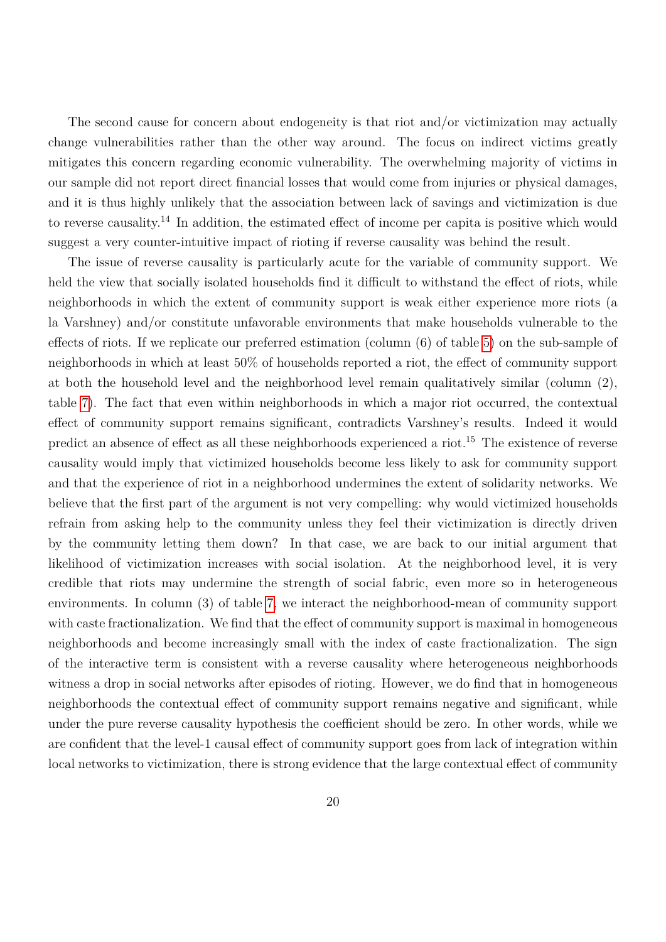The second cause for concern about endogeneity is that riot and/or victimization may actually change vulnerabilities rather than the other way around. The focus on indirect victims greatly mitigates this concern regarding economic vulnerability. The overwhelming majority of victims in our sample did not report direct financial losses that would come from injuries or physical damages, and it is thus highly unlikely that the association between lack of savings and victimization is due to reverse causality.<sup>14</sup> In addition, the estimated effect of income per capita is positive which would suggest a very counter-intuitive impact of rioting if reverse causality was behind the result.

<span id="page-20-0"></span>The issue of reverse causality is particularly acute for the variable of community support. We held the view that socially isolated households find it difficult to withstand the effect of riots, while neighborhoods in which the extent of community support is weak either experience more riots (a la Varshney) and/or constitute unfavorable environments that make households vulnerable to the effects of riots. If we replicate our preferred estimation (column (6) of table [5\)](#page-32-0) on the sub-sample of neighborhoods in which at least 50% of households reported a riot, the effect of community support at both the household level and the neighborhood level remain qualitatively similar (column (2), table [7\)](#page-36-0). The fact that even within neighborhoods in which a major riot occurred, the contextual effect of community support remains significant, contradicts Varshney's results. Indeed it would predict an absence of effect as all these neighborhoods experienced a riot.<sup>15</sup> The existence of reverse causality would imply that victimized households become less likely to ask for community support and that the experience of riot in a neighborhood undermines the extent of solidarity networks. We believe that the first part of the argument is not very compelling: why would victimized households refrain from asking help to the community unless they feel their victimization is directly driven by the community letting them down? In that case, we are back to our initial argument that likelihood of victimization increases with social isolation. At the neighborhood level, it is very credible that riots may undermine the strength of social fabric, even more so in heterogeneous environments. In column (3) of table [7,](#page-36-0) we interact the neighborhood-mean of community support with caste fractionalization. We find that the effect of community support is maximal in homogeneous neighborhoods and become increasingly small with the index of caste fractionalization. The sign of the interactive term is consistent with a reverse causality where heterogeneous neighborhoods witness a drop in social networks after episodes of rioting. However, we do find that in homogeneous neighborhoods the contextual effect of community support remains negative and significant, while under the pure reverse causality hypothesis the coefficient should be zero. In other words, while we are confident that the level-1 causal effect of community support goes from lack of integration within local networks to victimization, there is strong evidence that the large contextual effect of community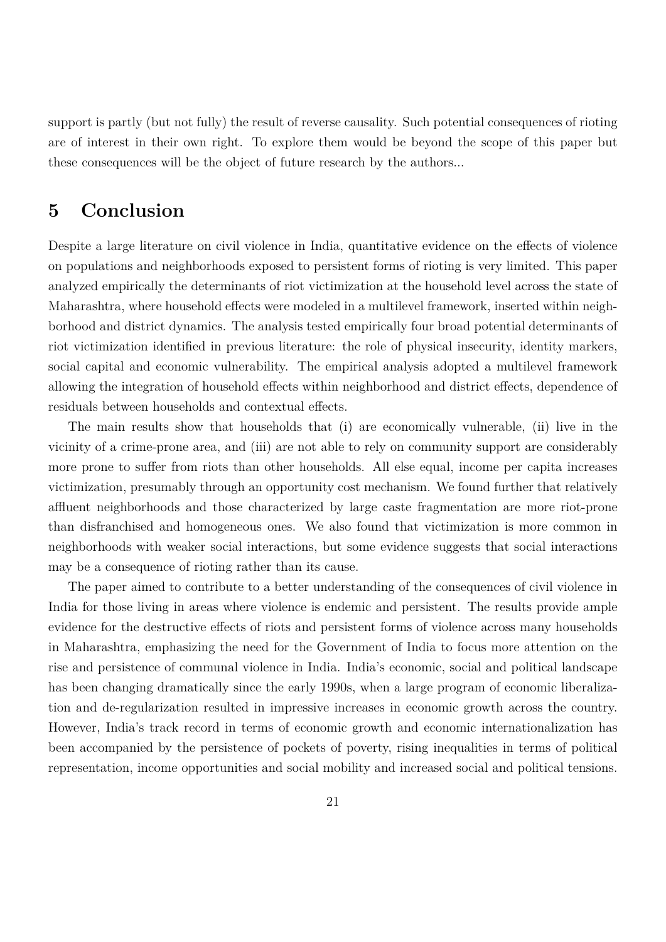support is partly (but not fully) the result of reverse causality. Such potential consequences of rioting are of interest in their own right. To explore them would be beyond the scope of this paper but these consequences will be the object of future research by the authors...

### **5 Conclusion**

Despite a large literature on civil violence in India, quantitative evidence on the effects of violence on populations and neighborhoods exposed to persistent forms of rioting is very limited. This paper analyzed empirically the determinants of riot victimization at the household level across the state of Maharashtra, where household effects were modeled in a multilevel framework, inserted within neighborhood and district dynamics. The analysis tested empirically four broad potential determinants of riot victimization identified in previous literature: the role of physical insecurity, identity markers, social capital and economic vulnerability. The empirical analysis adopted a multilevel framework allowing the integration of household effects within neighborhood and district effects, dependence of residuals between households and contextual effects.

The main results show that households that (i) are economically vulnerable, (ii) live in the vicinity of a crime-prone area, and (iii) are not able to rely on community support are considerably more prone to suffer from riots than other households. All else equal, income per capita increases victimization, presumably through an opportunity cost mechanism. We found further that relatively affluent neighborhoods and those characterized by large caste fragmentation are more riot-prone than disfranchised and homogeneous ones. We also found that victimization is more common in neighborhoods with weaker social interactions, but some evidence suggests that social interactions may be a consequence of rioting rather than its cause.

The paper aimed to contribute to a better understanding of the consequences of civil violence in India for those living in areas where violence is endemic and persistent. The results provide ample evidence for the destructive effects of riots and persistent forms of violence across many households in Maharashtra, emphasizing the need for the Government of India to focus more attention on the rise and persistence of communal violence in India. India's economic, social and political landscape has been changing dramatically since the early 1990s, when a large program of economic liberalization and de-regularization resulted in impressive increases in economic growth across the country. However, India's track record in terms of economic growth and economic internationalization has been accompanied by the persistence of pockets of poverty, rising inequalities in terms of political representation, income opportunities and social mobility and increased social and political tensions.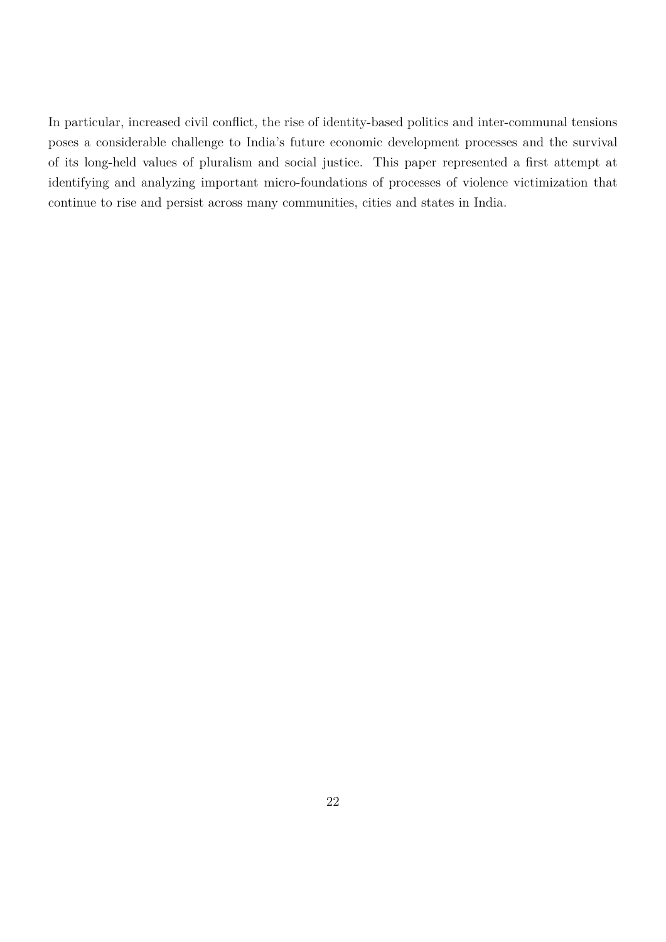In particular, increased civil conflict, the rise of identity-based politics and inter-communal tensions poses a considerable challenge to India's future economic development processes and the survival of its long-held values of pluralism and social justice. This paper represented a first attempt at identifying and analyzing important micro-foundations of processes of violence victimization that continue to rise and persist across many communities, cities and states in India.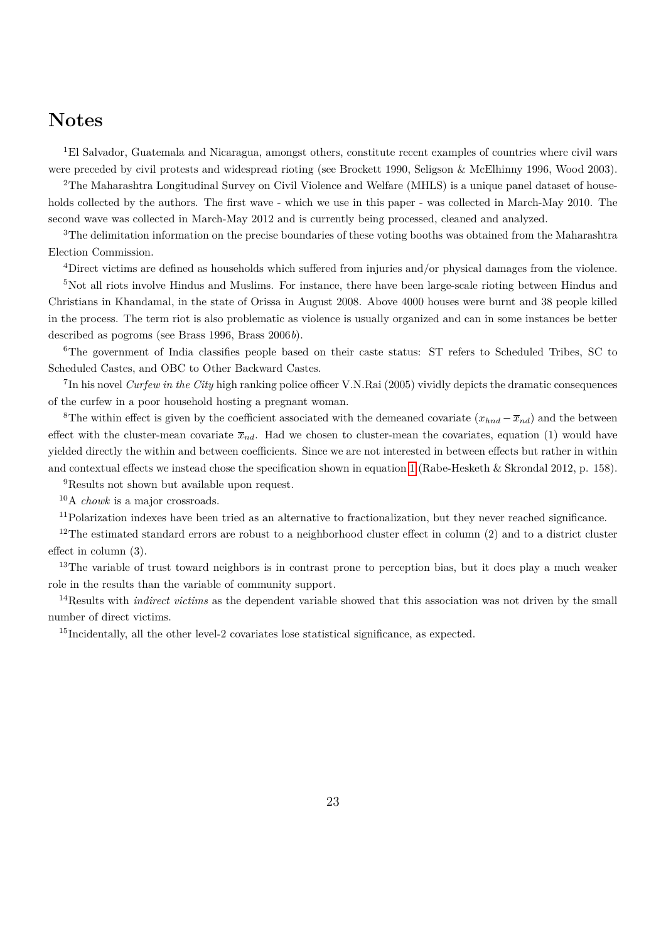## **Notes**

<sup>1</sup>El Salvador, Guatemala and Nicaragua, amongst others, constitute recent examples of countries where civil wars were preceded by civil protests and widespread rioting (see Brockett 1990, Seligson & McElhinny 1996, Wood 2003).

<sup>2</sup>The Maharashtra Longitudinal Survey on Civil Violence and Welfare (MHLS) is a unique panel dataset of households collected by the authors. The first wave - which we use in this paper - was collected in March-May 2010. The second wave was collected in March-May 2012 and is currently being processed, cleaned and analyzed.

<sup>3</sup>The delimitation information on the precise boundaries of these voting booths was obtained from the Maharashtra Election Commission.

<sup>4</sup>Direct victims are defined as households which suffered from injuries and/or physical damages from the violence.

<sup>5</sup>Not all riots involve Hindus and Muslims. For instance, there have been large-scale rioting between Hindus and Christians in Khandamal, in the state of Orissa in August 2008. Above 4000 houses were burnt and 38 people killed in the process. The term riot is also problematic as violence is usually organized and can in some instances be better described as pogroms (see Brass 1996, Brass 2006*b*).

<sup>6</sup>The government of India classifies people based on their caste status: ST refers to Scheduled Tribes, SC to Scheduled Castes, and OBC to Other Backward Castes.

7 In his novel *Curfew in the City* high ranking police officer V.N.Rai (2005) vividly depicts the dramatic consequences of the curfew in a poor household hosting a pregnant woman.

<sup>8</sup>The within effect is given by the coefficient associated with the demeaned covariate  $(x_{hnd} - \overline{x}_{nd})$  and the between effect with the cluster-mean covariate  $\bar{x}_{nd}$ . Had we chosen to cluster-mean the covariates, equation (1) would have yielded directly the within and between coefficients. Since we are not interested in between effects but rather in within and contextual effects we instead chose the specification shown in equation [1](#page-11-0) (Rabe-Hesketh & Skrondal 2012, p. 158).

<sup>9</sup>Results not shown but available upon request.

<sup>10</sup>A *chowk* is a major crossroads.

<sup>11</sup>Polarization indexes have been tried as an alternative to fractionalization, but they never reached significance.

<sup>12</sup>The estimated standard errors are robust to a neighborhood cluster effect in column  $(2)$  and to a district cluster effect in column (3).

<sup>13</sup>The variable of trust toward neighbors is in contrast prone to perception bias, but it does play a much weaker role in the results than the variable of community support.

<sup>14</sup>Results with *indirect victims* as the dependent variable showed that this association was not driven by the small number of direct victims.

<sup>15</sup>Incidentally, all the other level-2 covariates lose statistical significance, as expected.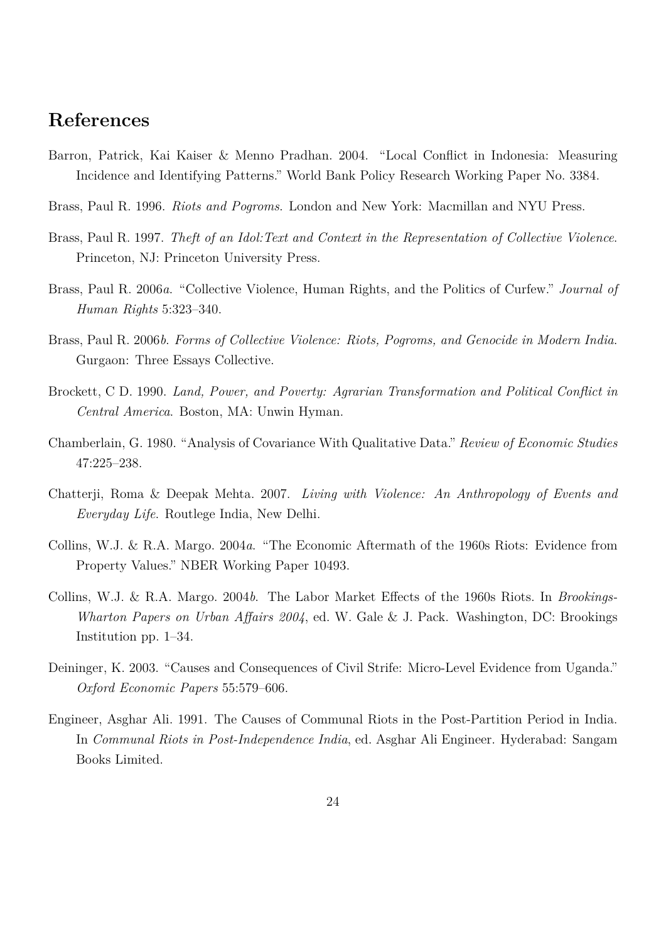## **References**

- Barron, Patrick, Kai Kaiser & Menno Pradhan. 2004. "Local Conflict in Indonesia: Measuring Incidence and Identifying Patterns." World Bank Policy Research Working Paper No. 3384.
- Brass, Paul R. 1996. *Riots and Pogroms*. London and New York: Macmillan and NYU Press.
- Brass, Paul R. 1997. *Theft of an Idol:Text and Context in the Representation of Collective Violence*. Princeton, NJ: Princeton University Press.
- Brass, Paul R. 2006*a*. "Collective Violence, Human Rights, and the Politics of Curfew." *Journal of Human Rights* 5:323–340.
- Brass, Paul R. 2006*b*. *Forms of Collective Violence: Riots, Pogroms, and Genocide in Modern India*. Gurgaon: Three Essays Collective.
- Brockett, C D. 1990. *Land, Power, and Poverty: Agrarian Transformation and Political Conflict in Central America*. Boston, MA: Unwin Hyman.
- Chamberlain, G. 1980. "Analysis of Covariance With Qualitative Data." *Review of Economic Studies* 47:225–238.
- Chatterji, Roma & Deepak Mehta. 2007. *Living with Violence: An Anthropology of Events and Everyday Life*. Routlege India, New Delhi.
- Collins, W.J. & R.A. Margo. 2004*a*. "The Economic Aftermath of the 1960s Riots: Evidence from Property Values." NBER Working Paper 10493.
- Collins, W.J. & R.A. Margo. 2004*b*. The Labor Market Effects of the 1960s Riots. In *Brookings-Wharton Papers on Urban Affairs 2004*, ed. W. Gale & J. Pack. Washington, DC: Brookings Institution pp. 1–34.
- Deininger, K. 2003. "Causes and Consequences of Civil Strife: Micro-Level Evidence from Uganda." *Oxford Economic Papers* 55:579–606.
- Engineer, Asghar Ali. 1991. The Causes of Communal Riots in the Post-Partition Period in India. In *Communal Riots in Post-Independence India*, ed. Asghar Ali Engineer. Hyderabad: Sangam Books Limited.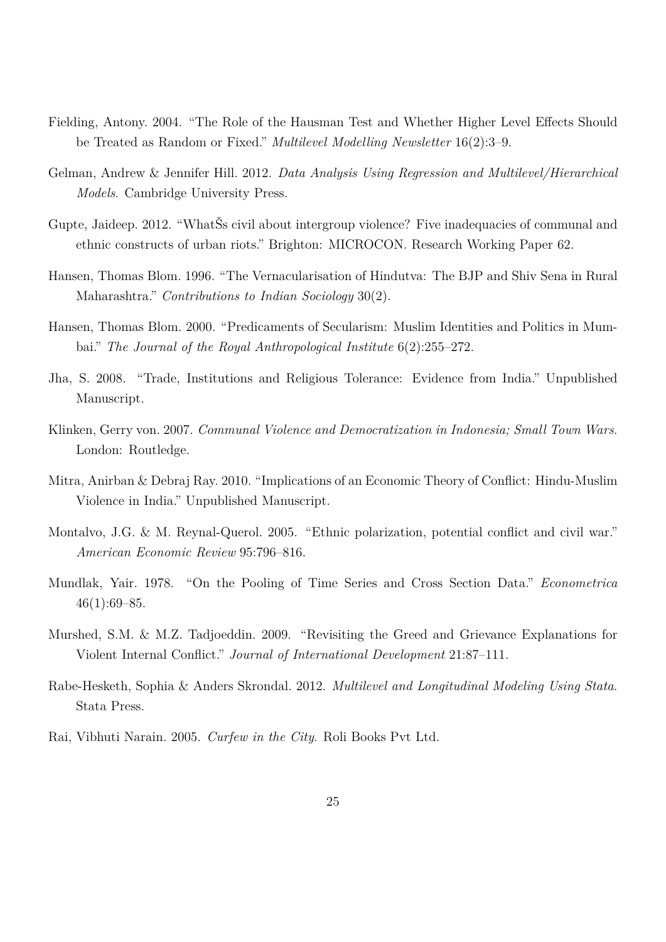- Fielding, Antony. 2004. "The Role of the Hausman Test and Whether Higher Level Effects Should be Treated as Random or Fixed." *Multilevel Modelling Newsletter* 16(2):3–9.
- Gelman, Andrew & Jennifer Hill. 2012. *Data Analysis Using Regression and Multilevel/Hierarchical Models*. Cambridge University Press.
- Gupte, Jaideep. 2012. "WhatSs civil about intergroup violence? Five inadequacies of communal and ethnic constructs of urban riots." Brighton: MICROCON. Research Working Paper 62.
- Hansen, Thomas Blom. 1996. "The Vernacularisation of Hindutva: The BJP and Shiv Sena in Rural Maharashtra." *Contributions to Indian Sociology* 30(2).
- Hansen, Thomas Blom. 2000. "Predicaments of Secularism: Muslim Identities and Politics in Mumbai." *The Journal of the Royal Anthropological Institute* 6(2):255–272.
- Jha, S. 2008. "Trade, Institutions and Religious Tolerance: Evidence from India." Unpublished Manuscript.
- Klinken, Gerry von. 2007. *Communal Violence and Democratization in Indonesia; Small Town Wars*. London: Routledge.
- Mitra, Anirban & Debraj Ray. 2010. "Implications of an Economic Theory of Conflict: Hindu-Muslim Violence in India." Unpublished Manuscript.
- Montalvo, J.G. & M. Reynal-Querol. 2005. "Ethnic polarization, potential conflict and civil war." *American Economic Review* 95:796–816.
- Mundlak, Yair. 1978. "On the Pooling of Time Series and Cross Section Data." *Econometrica*  $46(1):69-85.$
- Murshed, S.M. & M.Z. Tadjoeddin. 2009. "Revisiting the Greed and Grievance Explanations for Violent Internal Conflict." *Journal of International Development* 21:87–111.
- Rabe-Hesketh, Sophia & Anders Skrondal. 2012. *Multilevel and Longitudinal Modeling Using Stata*. Stata Press.
- Rai, Vibhuti Narain. 2005. *Curfew in the City*. Roli Books Pvt Ltd.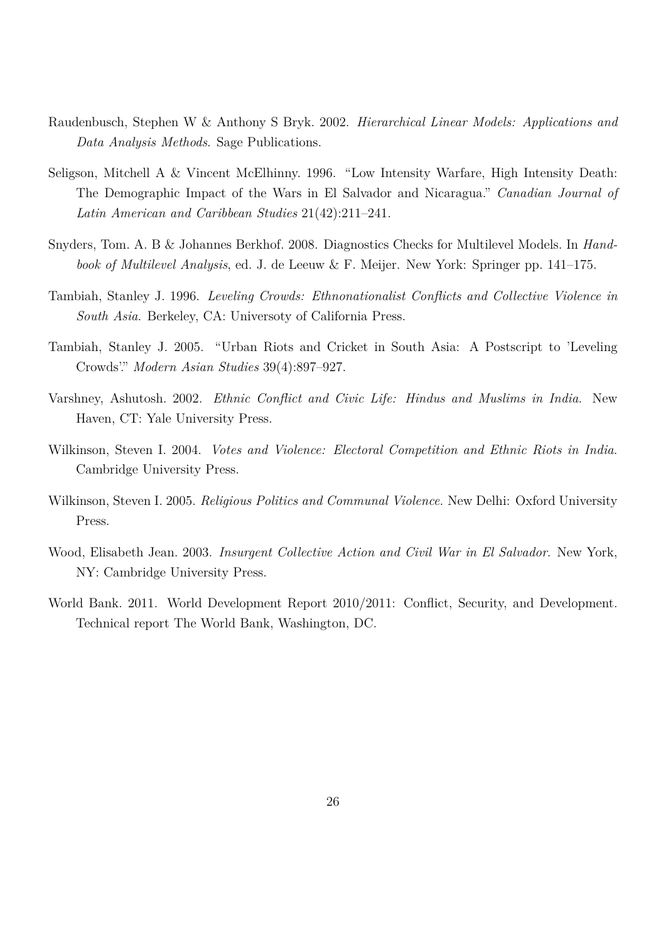- Raudenbusch, Stephen W & Anthony S Bryk. 2002. *Hierarchical Linear Models: Applications and Data Analysis Methods*. Sage Publications.
- Seligson, Mitchell A & Vincent McElhinny. 1996. "Low Intensity Warfare, High Intensity Death: The Demographic Impact of the Wars in El Salvador and Nicaragua." *Canadian Journal of Latin American and Caribbean Studies* 21(42):211–241.
- <span id="page-26-0"></span>Snyders, Tom. A. B & Johannes Berkhof. 2008. Diagnostics Checks for Multilevel Models. In *Handbook of Multilevel Analysis*, ed. J. de Leeuw & F. Meijer. New York: Springer pp. 141–175.
- Tambiah, Stanley J. 1996. *Leveling Crowds: Ethnonationalist Conflicts and Collective Violence in South Asia*. Berkeley, CA: Universoty of California Press.
- Tambiah, Stanley J. 2005. "Urban Riots and Cricket in South Asia: A Postscript to 'Leveling Crowds'." *Modern Asian Studies* 39(4):897–927.
- Varshney, Ashutosh. 2002. *Ethnic Conflict and Civic Life: Hindus and Muslims in India*. New Haven, CT: Yale University Press.
- Wilkinson, Steven I. 2004. *Votes and Violence: Electoral Competition and Ethnic Riots in India*. Cambridge University Press.
- Wilkinson, Steven I. 2005. *Religious Politics and Communal Violence*. New Delhi: Oxford University Press.
- Wood, Elisabeth Jean. 2003. *Insurgent Collective Action and Civil War in El Salvador*. New York, NY: Cambridge University Press.
- World Bank. 2011. World Development Report 2010/2011: Conflict, Security, and Development. Technical report The World Bank, Washington, DC.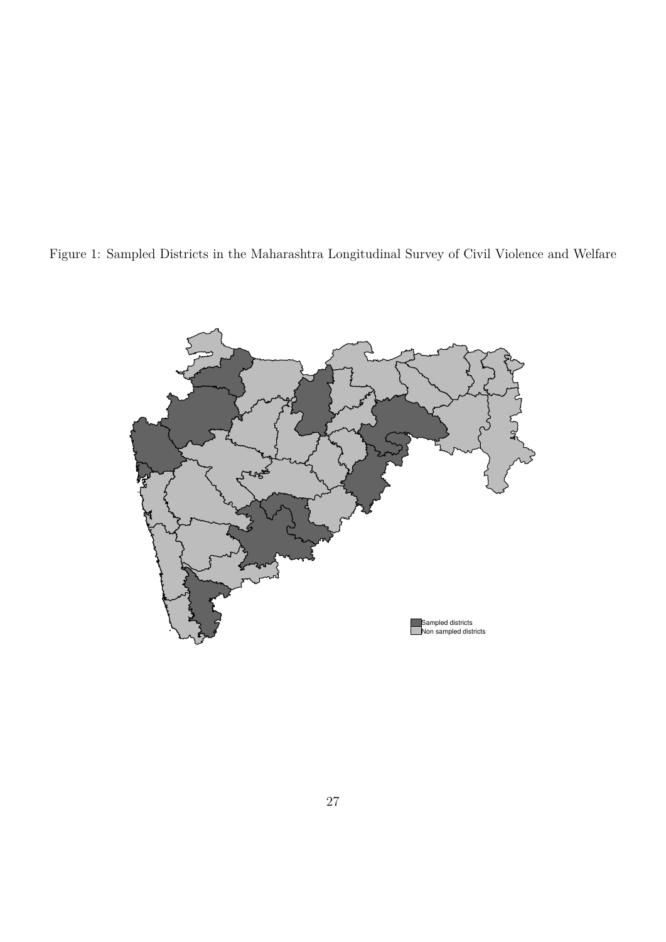<span id="page-27-0"></span>

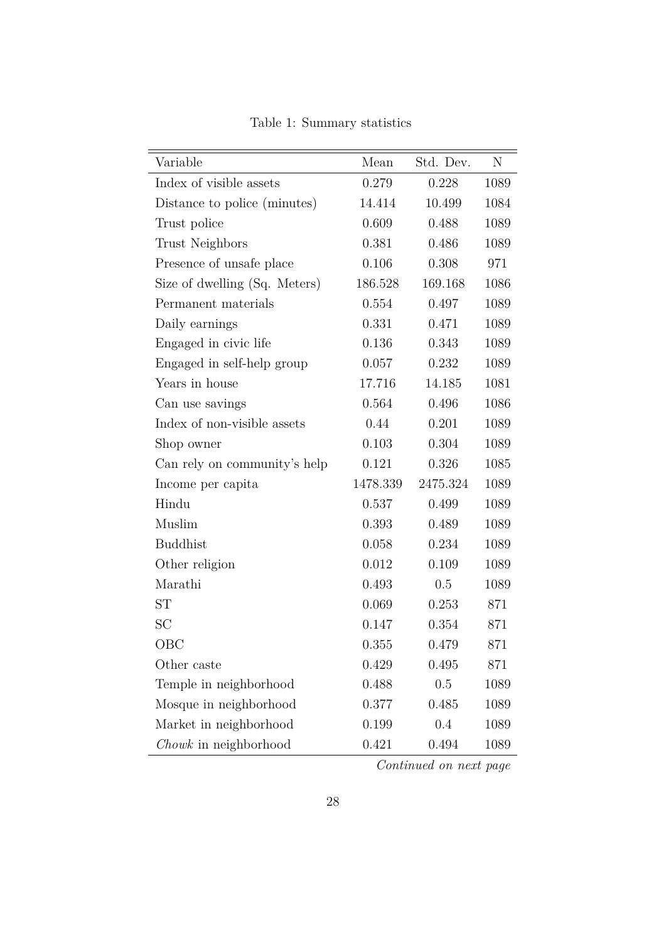| Variable                      | Mean     | Std. Dev. | N    |
|-------------------------------|----------|-----------|------|
| Index of visible assets       | 0.279    | 0.228     | 1089 |
| Distance to police (minutes)  | 14.414   | 10.499    | 1084 |
| Trust police                  | 0.609    | 0.488     | 1089 |
| <b>Trust Neighbors</b>        | 0.381    | 0.486     | 1089 |
| Presence of unsafe place      | 0.106    | 0.308     | 971  |
| Size of dwelling (Sq. Meters) | 186.528  | 169.168   | 1086 |
| Permanent materials           | 0.554    | 0.497     | 1089 |
| Daily earnings                | 0.331    | 0.471     | 1089 |
| Engaged in civic life         | 0.136    | 0.343     | 1089 |
| Engaged in self-help group    | 0.057    | 0.232     | 1089 |
| Years in house                | 17.716   | 14.185    | 1081 |
| Can use savings               | 0.564    | 0.496     | 1086 |
| Index of non-visible assets   | 0.44     | 0.201     | 1089 |
| Shop owner                    | 0.103    | 0.304     | 1089 |
| Can rely on community's help  | 0.121    | 0.326     | 1085 |
| Income per capita             | 1478.339 | 2475.324  | 1089 |
| Hindu                         | 0.537    | 0.499     | 1089 |
| Muslim                        | 0.393    | 0.489     | 1089 |
| <b>Buddhist</b>               | 0.058    | 0.234     | 1089 |
| Other religion                | 0.012    | 0.109     | 1089 |
| Marathi                       | 0.493    | 0.5       | 1089 |
| ST                            | 0.069    | 0.253     | 871  |
| SC                            | 0.147    | 0.354     | 871  |
| $_{\rm{OBC}}$                 | 0.355    | 0.479     | 871  |
| Other caste                   | 0.429    | 0.495     | 871  |
| Temple in neighborhood        | 0.488    | 0.5       | 1089 |
| Mosque in neighborhood        | 0.377    | 0.485     | 1089 |
| Market in neighborhood        | 0.199    | 0.4       | 1089 |
| Chowk in neighborhood         | 0.421    | 0.494     | 1089 |

Table 1: Summary statistics

*Continued on next page*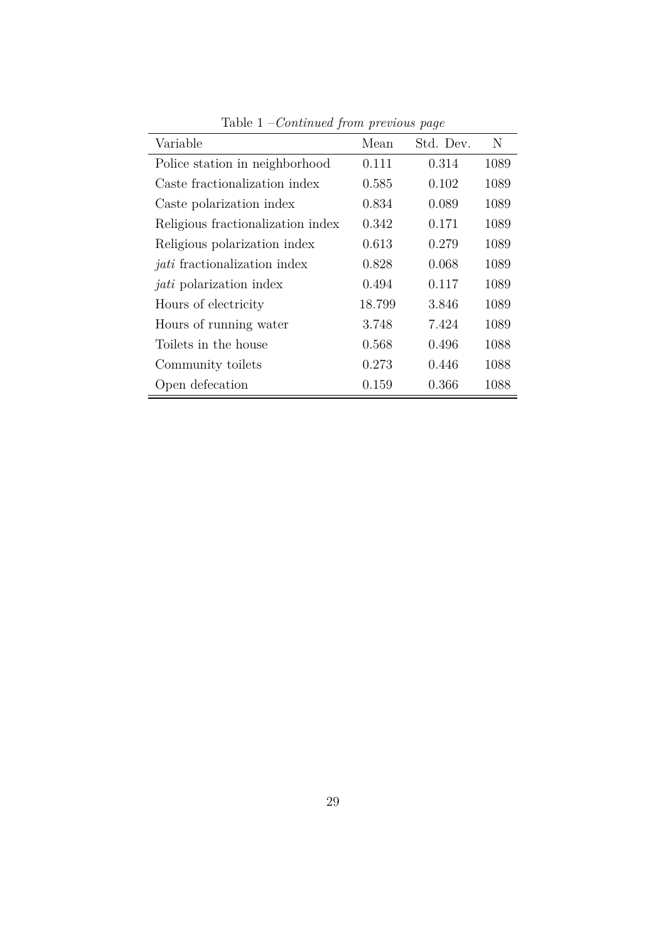<span id="page-29-0"></span>

| Variable                            | Mean   | Std. Dev. | N    |
|-------------------------------------|--------|-----------|------|
| Police station in neighborhood      | 0.111  | 0.314     | 1089 |
| Caste fractionalization index       | 0.585  | 0.102     | 1089 |
| Caste polarization index            | 0.834  | 0.089     | 1089 |
| Religious fractionalization index   | 0.342  | 0.171     | 1089 |
| Religious polarization index        | 0.613  | 0.279     | 1089 |
| <i>jati</i> fractionalization index | 0.828  | 0.068     | 1089 |
| <i>jati</i> polarization index      | 0.494  | 0.117     | 1089 |
| Hours of electricity                | 18.799 | 3.846     | 1089 |
| Hours of running water              | 3.748  | 7.424     | 1089 |
| Toilets in the house                | 0.568  | 0.496     | 1088 |
| Community toilets                   | 0.273  | 0.446     | 1088 |
| Open defecation                     | 0.159  | 0.366     | 1088 |

Table 1 –*Continued from previous page*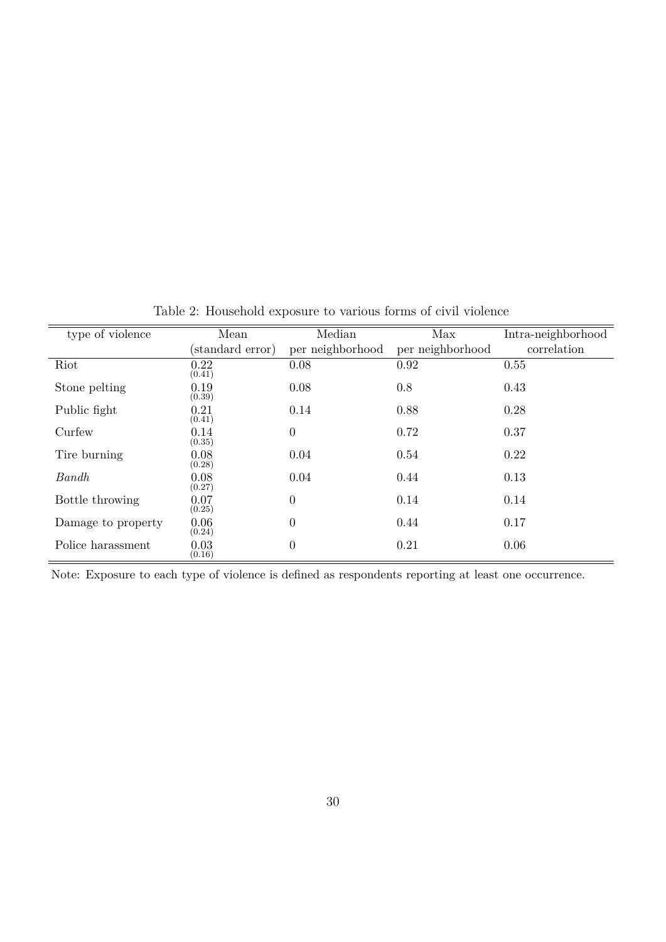| type of violence   | Mean             | Median           | Max              | Intra-neighborhood |
|--------------------|------------------|------------------|------------------|--------------------|
|                    | (standard error) | per neighborhood | per neighborhood | correlation        |
| Riot               | 0.22<br>(0.41)   | 0.08             | 0.92             | 0.55               |
| Stone pelting      | 0.19<br>(0.39)   | 0.08             | 0.8              | 0.43               |
| Public fight       | 0.21<br>(0.41)   | 0.14             | 0.88             | 0.28               |
| Curfew             | 0.14<br>(0.35)   | $\overline{0}$   | 0.72             | 0.37               |
| Tire burning       | 0.08<br>(0.28)   | 0.04             | 0.54             | 0.22               |
| Bandh              | 0.08<br>(0.27)   | 0.04             | 0.44             | 0.13               |
| Bottle throwing    | 0.07<br>(0.25)   | $\overline{0}$   | 0.14             | 0.14               |
| Damage to property | 0.06<br>(0.24)   | $\theta$         | 0.44             | 0.17               |
| Police harassment  | 0.03<br>(0.16)   | $\theta$         | 0.21             | 0.06               |

<span id="page-30-0"></span>Table 2: Household exposure to various forms of civil violence

Note: Exposure to each type of violence is defined as respondents reporting at least one occurrence.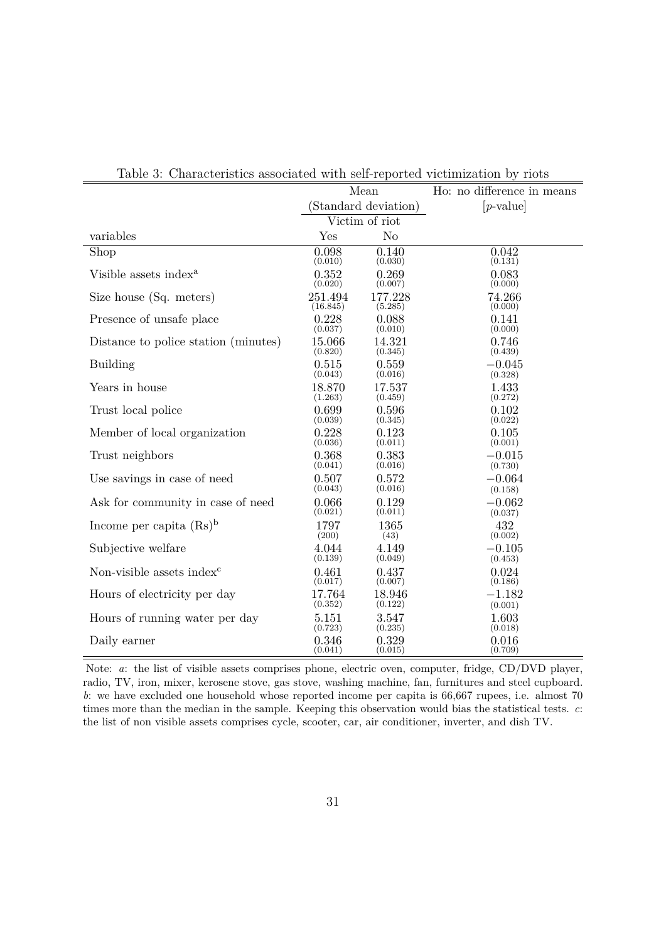| Characteristics associated with sen reported victimization by |              | Mean                 | Ho: no difference in means |
|---------------------------------------------------------------|--------------|----------------------|----------------------------|
|                                                               |              | (Standard deviation) | $[p\text{-value}]$         |
|                                                               |              | Victim of riot       |                            |
| variables                                                     | $_{\rm Yes}$ | No                   |                            |
| Shop                                                          | 0.098        | 0.140                | 0.042                      |
|                                                               | (0.010)      | (0.030)              | (0.131)                    |
| Visible assets index <sup>a</sup>                             | 0.352        | 0.269                | 0.083                      |
|                                                               | (0.020)      | (0.007)              | (0.000)                    |
| Size house (Sq. meters)                                       | 251.494      | 177.228              | 74.266                     |
|                                                               | (16.845)     | (5.285)              | (0.000)                    |
| Presence of unsafe place                                      | 0.228        | 0.088                | 0.141                      |
|                                                               | (0.037)      | (0.010)              | (0.000)                    |
| Distance to police station (minutes)                          | 15.066       | 14.321               | 0.746                      |
|                                                               | (0.820)      | (0.345)              | (0.439)                    |
| <b>Building</b>                                               | 0.515        | 0.559                | $-0.045$                   |
|                                                               | (0.043)      | (0.016)              | (0.328)                    |
| Years in house                                                | 18.870       | 17.537               | 1.433                      |
|                                                               | (1.263)      | (0.459)              | (0.272)                    |
| Trust local police                                            | 0.699        | 0.596                | 0.102                      |
|                                                               | (0.039)      | (0.345)              | (0.022)                    |
| Member of local organization                                  | 0.228        | 0.123                | 0.105                      |
|                                                               | (0.036)      | (0.011)              | (0.001)                    |
| Trust neighbors                                               | 0.368        | 0.383                | $-0.015$                   |
|                                                               | (0.041)      | (0.016)              | (0.730)                    |
| Use savings in case of need                                   | 0.507        | 0.572                | $-0.064$                   |
|                                                               | (0.043)      | (0.016)              | (0.158)                    |
| Ask for community in case of need                             | 0.066        | 0.129                | $-0.062$                   |
|                                                               | (0.021)      | (0.011)              | (0.037)                    |
| Income per capita $(Rs)^b$                                    | 1797         | 1365                 | 432                        |
|                                                               | (200)        | (43)                 | (0.002)                    |
| Subjective welfare                                            | 4.044        | 4.149                | $-0.105$                   |
|                                                               | (0.139)      | (0.049)              | (0.453)                    |
| Non-visible assets index <sup>c</sup>                         | 0.461        | 0.437                | 0.024                      |
|                                                               | (0.017)      | (0.007)              | (0.186)                    |
| Hours of electricity per day                                  | 17.764       | 18.946               | $-1.182$                   |
|                                                               | (0.352)      | (0.122)              | (0.001)                    |
| Hours of running water per day                                | 5.151        | 3.547                | 1.603                      |
|                                                               | (0.723)      | (0.235)              | (0.018)                    |
| Daily earner                                                  | 0.346        | 0.329                | 0.016                      |
|                                                               | (0.041)      | (0.015)              | (0.709)                    |

<span id="page-31-0"></span>Table 3: Characteristics associated with self-reported victimization by riots

Note: *a*: the list of visible assets comprises phone, electric oven, computer, fridge, CD/DVD player, radio, TV, iron, mixer, kerosene stove, gas stove, washing machine, fan, furnitures and steel cupboard. *b*: we have excluded one household whose reported income per capita is 66,667 rupees, i.e. almost 70 times more than the median in the sample. Keeping this observation would bias the statistical tests. *c*: the list of non visible assets comprises cycle, scooter, car, air conditioner, inverter, and dish TV.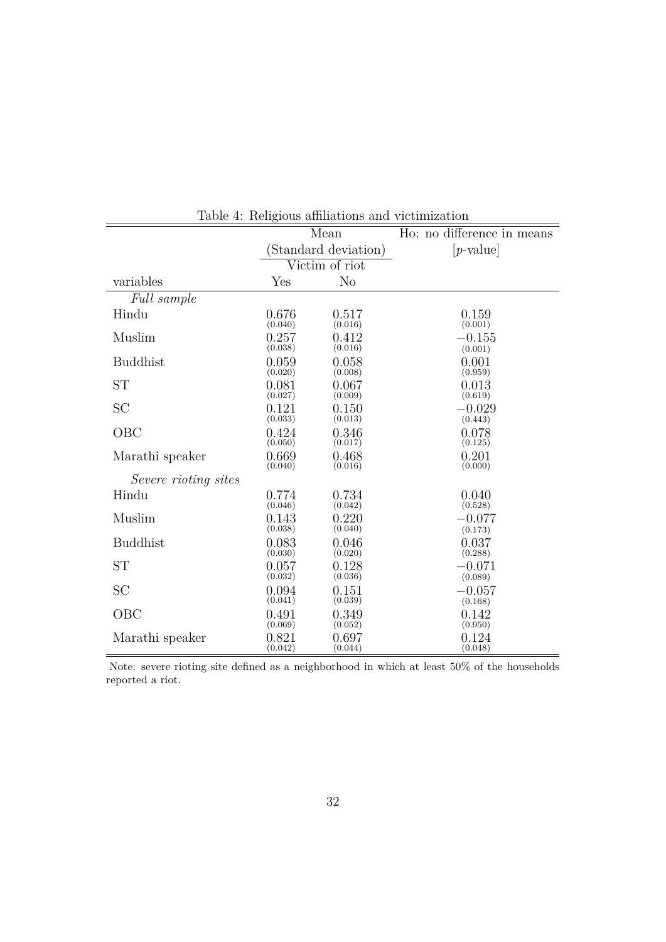<span id="page-32-0"></span>

|                             |         | тали +. типдовы аннивнопы ани утлиппавноп |                            |
|-----------------------------|---------|-------------------------------------------|----------------------------|
|                             |         | Mean                                      | Ho: no difference in means |
|                             |         | (Standard deviation)                      | $[p\text{-value}]$         |
|                             |         | Victim of riot                            |                            |
| variables                   | Yes     | N <sub>o</sub>                            |                            |
| Full sample                 |         |                                           |                            |
| Hindu                       | 0.676   | 0.517                                     | 0.159                      |
|                             | (0.040) | (0.016)                                   | (0.001)                    |
| Muslim                      | 0.257   | 0.412                                     | $-0.155$                   |
|                             | (0.038) | (0.016)                                   | (0.001)                    |
| <b>Buddhist</b>             | 0.059   | 0.058                                     | 0.001                      |
|                             | (0.020) | (0.008)                                   | (0.959)                    |
| <b>ST</b>                   | 0.081   | 0.067                                     | 0.013                      |
|                             | (0.027) | (0.009)                                   | (0.619)                    |
| <b>SC</b>                   | 0.121   | 0.150                                     | $-0.029$                   |
|                             | (0.033) | (0.013)                                   | (0.443)                    |
| OBC                         | 0.424   | 0.346                                     | 0.078                      |
|                             | (0.050) | (0.017)                                   | (0.125)                    |
| Marathi speaker             | 0.669   | 0.468                                     | 0.201                      |
|                             | (0.040) | (0.016)                                   | (0.000)                    |
| <i>Severe rioting sites</i> |         |                                           |                            |
| Hindu                       | 0.774   | 0.734                                     | 0.040                      |
|                             | (0.046) | (0.042)                                   | (0.528)                    |
| Muslim                      | 0.143   | 0.220                                     | $-0.077$                   |
|                             | (0.038) | (0.040)                                   | (0.173)                    |
| <b>Buddhist</b>             | 0.083   | 0.046                                     | 0.037                      |
|                             | (0.030) | (0.020)                                   | (0.288)                    |
| <b>ST</b>                   | 0.057   | 0.128                                     | $-0.071$                   |
|                             | (0.032) | (0.036)                                   | (0.089)                    |
| <b>SC</b>                   | 0.094   | 0.151                                     | $-0.057$                   |
|                             | (0.041) | (0.039)                                   | (0.168)                    |
| OBC                         | 0.491   | 0.349                                     | 0.142                      |
|                             | (0.069) | (0.052)                                   | (0.950)                    |
| Marathi speaker             | 0.821   | 0.697                                     | 0.124                      |
|                             | (0.042) | (0.044)                                   | (0.048)                    |

Table 4: Religious affiliations and victimization

Note: severe rioting site defined as a neighborhood in which at least 50% of the households reported a riot.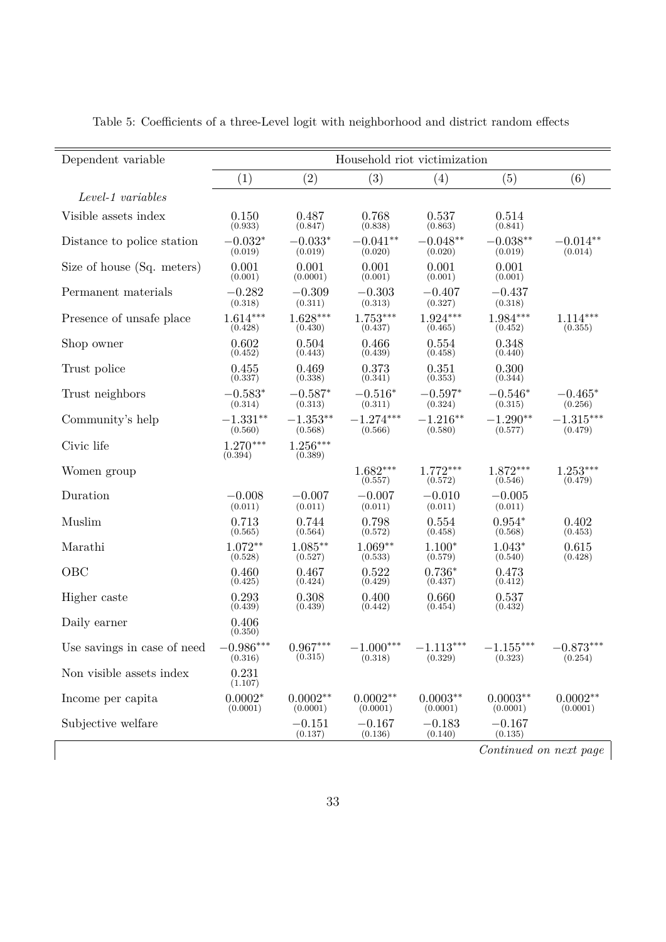| Dependent variable          | Household riot victimization |                        |                        |                        |                        |                        |  |
|-----------------------------|------------------------------|------------------------|------------------------|------------------------|------------------------|------------------------|--|
|                             | (1)                          | (2)                    | (3)                    | (4)                    | (5)                    | (6)                    |  |
| Level-1 variables           |                              |                        |                        |                        |                        |                        |  |
| Visible assets index        | 0.150<br>(0.933)             | 0.487<br>(0.847)       | 0.768<br>(0.838)       | 0.537<br>(0.863)       | 0.514<br>(0.841)       |                        |  |
| Distance to police station  | $-0.032*$<br>(0.019)         | $-0.033*$<br>(0.019)   | $-0.041**$<br>(0.020)  | $-0.048**$<br>(0.020)  | $-0.038**$<br>(0.019)  | $-0.014**$<br>(0.014)  |  |
| Size of house (Sq. meters)  | 0.001<br>(0.001)             | 0.001<br>(0.0001)      | 0.001<br>(0.001)       | 0.001<br>(0.001)       | 0.001<br>(0.001)       |                        |  |
| Permanent materials         | $-0.282$<br>(0.318)          | $-0.309$<br>(0.311)    | $-0.303$<br>(0.313)    | $-0.407$<br>(0.327)    | $-0.437$<br>(0.318)    |                        |  |
| Presence of unsafe place    | $1.614***$<br>(0.428)        | $1.628***$<br>(0.430)  | $1.753***$<br>(0.437)  | $1.924***$<br>(0.465)  | $1.984***$<br>(0.452)  | $1.114***$<br>(0.355)  |  |
| Shop owner                  | 0.602<br>(0.452)             | 0.504<br>(0.443)       | 0.466<br>(0.439)       | 0.554<br>(0.458)       | 0.348<br>(0.440)       |                        |  |
| Trust police                | 0.455<br>(0.337)             | 0.469<br>(0.338)       | 0.373<br>(0.341)       | 0.351<br>(0.353)       | 0.300<br>(0.344)       |                        |  |
| Trust neighbors             | $-0.583*$<br>(0.314)         | $-0.587*$<br>(0.313)   | $-0.516*$<br>(0.311)   | $-0.597*$<br>(0.324)   | $-0.546*$<br>(0.315)   | $-0.465*$<br>(0.256)   |  |
| Community's help            | $-1.331**$<br>(0.560)        | $-1.353**$<br>(0.568)  | $-1.274***$<br>(0.566) | $-1.216**$<br>(0.580)  | $-1.290**$<br>(0.577)  | $-1.315***$<br>(0.479) |  |
| Civic life                  | $1.270***$<br>(0.394)        | $1.256***$<br>(0.389)  |                        |                        |                        |                        |  |
| Women group                 |                              |                        | $1.682***$<br>(0.557)  | $1.772***$<br>(0.572)  | $1.872***$<br>(0.546)  | $1.253***$<br>(0.479)  |  |
| Duration                    | $-0.008$<br>(0.011)          | $-0.007$<br>(0.011)    | $-0.007$<br>(0.011)    | $-0.010$<br>(0.011)    | $-0.005$<br>(0.011)    |                        |  |
| Muslim                      | 0.713<br>(0.565)             | 0.744<br>(0.564)       | 0.798<br>(0.572)       | 0.554<br>(0.458)       | $0.954*$<br>(0.568)    | 0.402<br>(0.453)       |  |
| Marathi                     | $1.072**$<br>(0.528)         | $1.085**$<br>(0.527)   | $1.069**$<br>(0.533)   | $1.100*$<br>(0.579)    | $1.043*$<br>(0.540)    | 0.615<br>(0.428)       |  |
| OBC                         | 0.460<br>(0.425)             | 0.467<br>(0.424)       | 0.522<br>(0.429)       | $0.736*$<br>(0.437)    | 0.473<br>(0.412)       |                        |  |
| Higher caste                | 0.293<br>(0.439)             | 0.308<br>(0.439)       | 0.400<br>(0.442)       | 0.660<br>(0.454)       | 0.537<br>(0.432)       |                        |  |
| Daily earner                | 0.406<br>(0.350)             |                        |                        |                        |                        |                        |  |
| Use savings in case of need | $-0.986***$<br>(0.316)       | $0.967***$<br>(0.315)  | $-1.000***$<br>(0.318) | $-1.113***$<br>(0.329) | $-1.155***$<br>(0.323) | $-0.873***$<br>(0.254) |  |
| Non visible assets index    | 0.231<br>(1.107)             |                        |                        |                        |                        |                        |  |
| Income per capita           | $0.0002*$<br>(0.0001)        | $0.0002**$<br>(0.0001) | $0.0002**$<br>(0.0001) | $0.0003**$<br>(0.0001) | $0.0003**$<br>(0.0001) | $0.0002**$<br>(0.0001) |  |
| Subjective welfare          |                              | $-0.151$<br>(0.137)    | $-0.167$<br>(0.136)    | $-0.183$<br>(0.140)    | $-0.167$<br>(0.135)    |                        |  |
|                             |                              |                        |                        |                        | Continued on next page |                        |  |

Table 5: Coefficients of a three-Level logit with neighborhood and district random effects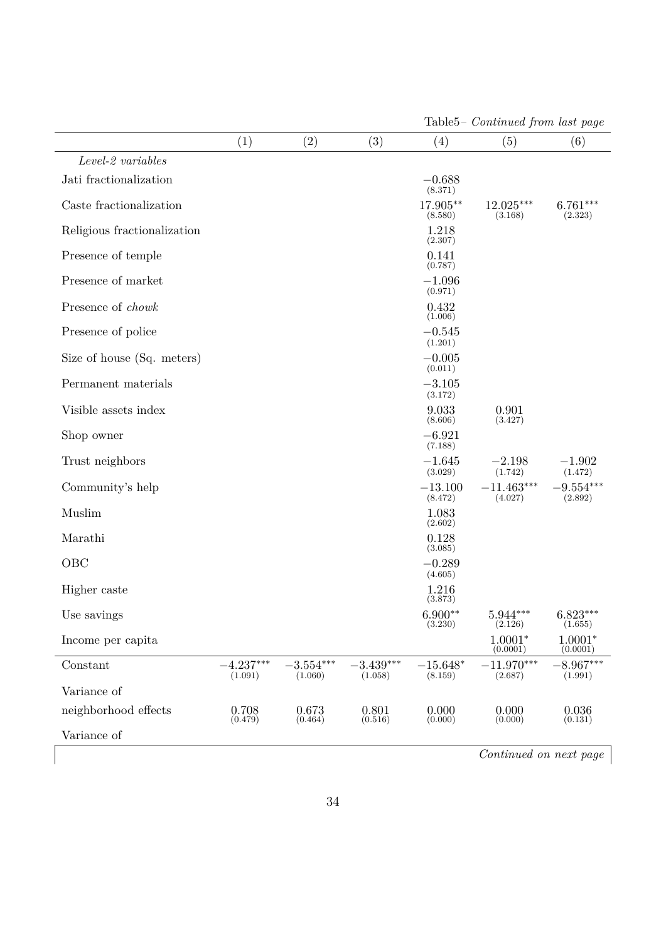|                             |                        |                        |                        |                       | Lables – Continued from tast page |                        |
|-----------------------------|------------------------|------------------------|------------------------|-----------------------|-----------------------------------|------------------------|
|                             | (1)                    | (2)                    | (3)                    | (4)                   | (5)                               | (6)                    |
| $Level-2\ variables$        |                        |                        |                        |                       |                                   |                        |
| Jati fractionalization      |                        |                        |                        | $-0.688$<br>(8.371)   |                                   |                        |
| Caste fractionalization     |                        |                        |                        | 17.905**<br>(8.580)   | 12.025***<br>(3.168)              | $6.761***$<br>(2.323)  |
| Religious fractionalization |                        |                        |                        | 1.218<br>(2.307)      |                                   |                        |
| Presence of temple          |                        |                        |                        | 0.141<br>(0.787)      |                                   |                        |
| Presence of market          |                        |                        |                        | $-1.096$<br>(0.971)   |                                   |                        |
| Presence of chowk           |                        |                        |                        | 0.432<br>(1.006)      |                                   |                        |
| Presence of police          |                        |                        |                        | $-0.545$<br>(1.201)   |                                   |                        |
| Size of house (Sq. meters)  |                        |                        |                        | $-0.005$<br>(0.011)   |                                   |                        |
| Permanent materials         |                        |                        |                        | $-3.105$<br>(3.172)   |                                   |                        |
| Visible assets index        |                        |                        |                        | 9.033<br>(8.606)      | 0.901<br>(3.427)                  |                        |
| Shop owner                  |                        |                        |                        | $-6.921$<br>(7.188)   |                                   |                        |
| Trust neighbors             |                        |                        |                        | $-1.645$<br>(3.029)   | $-2.198$<br>(1.742)               | $-1.902$<br>(1.472)    |
| Community's help            |                        |                        |                        | $-13.100$<br>(8.472)  | $-11.463***$<br>(4.027)           | $-9.554***$<br>(2.892) |
| Muslim                      |                        |                        |                        | 1.083<br>(2.602)      |                                   |                        |
| Marathi                     |                        |                        |                        | 0.128<br>(3.085)      |                                   |                        |
| OBC                         |                        |                        |                        | $-0.289$<br>(4.605)   |                                   |                        |
| Higher caste                |                        |                        |                        | 1.216<br>(3.873)      |                                   |                        |
| Use savings                 |                        |                        |                        | $6.900**$<br>(3.230)  | $5.944***$<br>(2.126)             | $6.823***$<br>(1.655)  |
| Income per capita           |                        |                        |                        |                       | $1.0001*$<br>(0.0001)             | $1.0001*$<br>(0.0001)  |
| Constant                    | $-4.237***$<br>(1.091) | $-3.554***$<br>(1.060) | $-3.439***$<br>(1.058) | $-15.648*$<br>(8.159) | $-11.970***$<br>(2.687)           | $-8.967***$<br>(1.991) |
| Variance of                 |                        |                        |                        |                       |                                   |                        |
| neighborhood effects        | 0.708<br>(0.479)       | 0.673<br>(0.464)       | 0.801<br>(0.516)       | 0.000<br>(0.000)      | 0.000<br>(0.000)                  | 0.036<br>(0.131)       |
| Variance of                 |                        |                        |                        |                       |                                   |                        |

Table5*– Continued from last page*

*Continued on next page*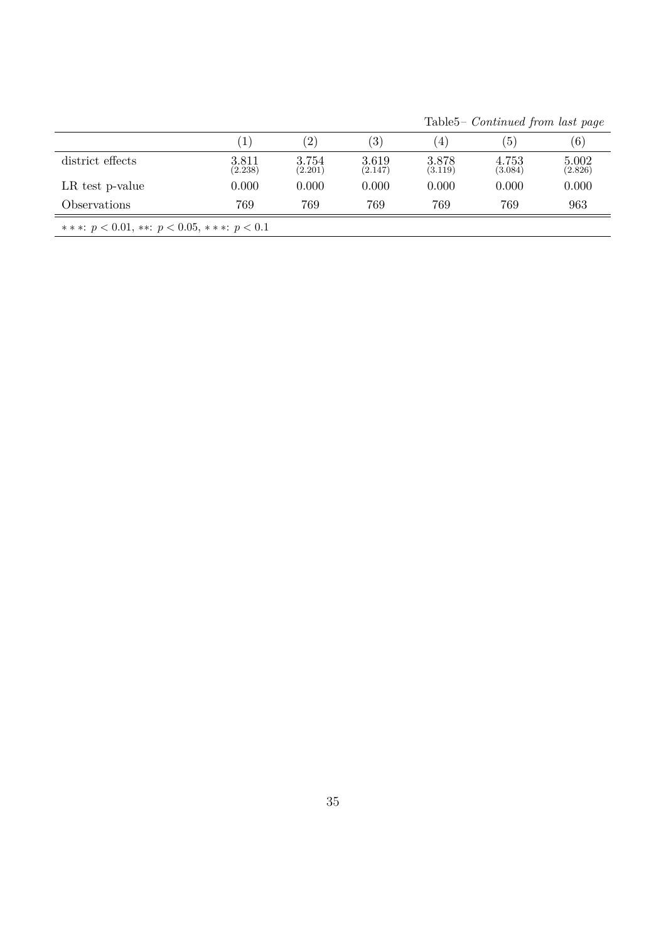Table5*– Continued from last page*

<span id="page-35-0"></span>

|                                                   |                  | $\mathbf{2}^{\prime}$ | $\left(3\right)$ | $\left(4\right)$ | (5)              | (6)              |
|---------------------------------------------------|------------------|-----------------------|------------------|------------------|------------------|------------------|
| district effects                                  | 3.811<br>(2.238) | 3.754<br>(2.201)      | 3.619<br>(2.147) | 3.878<br>(3.119) | 4.753<br>(3.084) | 5.002<br>(2.826) |
| LR test p-value                                   | 0.000            | 0.000                 | 0.000            | 0.000            | 0.000            | 0.000            |
| Observations                                      | 769              | 769                   | 769              | 769              | 769              | 963              |
| ***: $p < 0.01$ , **: $p < 0.05$ , ***: $p < 0.1$ |                  |                       |                  |                  |                  |                  |
|                                                   |                  |                       |                  |                  |                  |                  |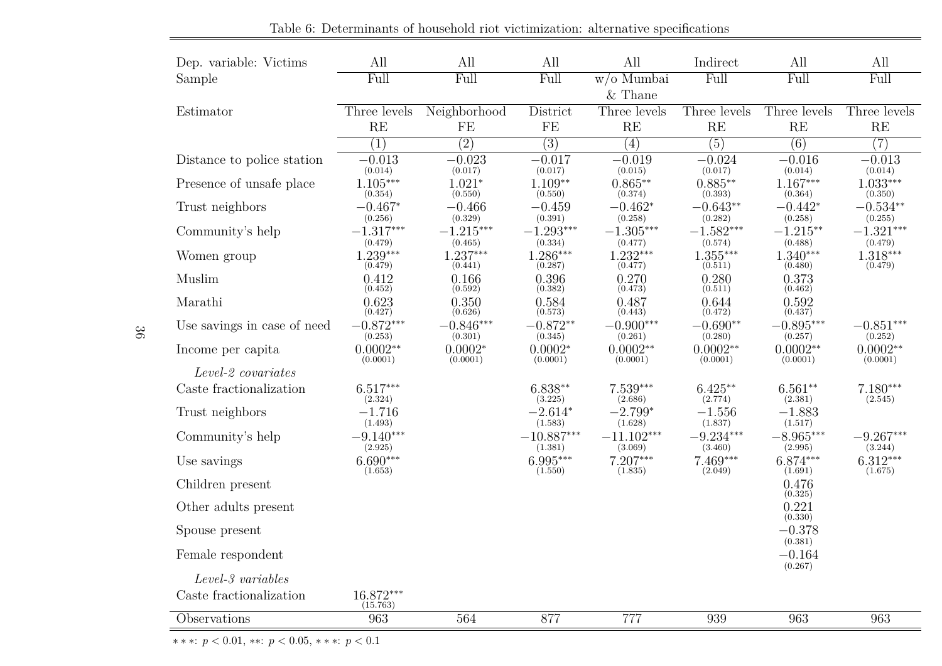<span id="page-36-0"></span>

| Dep. variable: Victims      | All                     | All                    | All                     | All                     | Indirect               | All                    | All                    |
|-----------------------------|-------------------------|------------------------|-------------------------|-------------------------|------------------------|------------------------|------------------------|
| Sample                      | Full                    | Full                   | Full                    | $\overline{w/o$ Mumbai  | Full                   | Full                   | Full                   |
|                             |                         |                        |                         | $\&$ Thane              |                        |                        |                        |
| Estimator                   | Three levels            | Neighborhood           | District                | Three levels            | Three levels           | Three levels           | Three levels           |
|                             | RE                      | FE                     | FE                      | RE                      | RE                     | RE                     | RE                     |
|                             | $\overline{(1)}$        | $\overline{(2)}$       | $\overline{(3)}$        | $\overline{(4)}$        | $\overline{(5)}$       | $\overline{(6)}$       | $\overline{(7)}$       |
| Distance to police station  | $-0.013$<br>(0.014)     | $-0.023$<br>(0.017)    | $-0.017$<br>(0.017)     | $-0.019$<br>(0.015)     | $-0.024$<br>(0.017)    | $-0.016$<br>(0.014)    | $-0.013$<br>(0.014)    |
| Presence of unsafe place    | $1.105***$<br>(0.354)   | $1.021*$<br>(0.550)    | $1.109**$<br>(0.550)    | $0.865**$<br>(0.374)    | $0.885**$<br>(0.393)   | $1.167***$<br>(0.364)  | $1.033***$<br>(0.350)  |
| Trust neighbors             | $-0.467*$<br>(0.256)    | $-0.466$<br>(0.329)    | $-0.459$<br>(0.391)     | $-0.462*$<br>(0.258)    | $-0.643**$<br>(0.282)  | $-0.442*$<br>(0.258)   | $-0.534**$<br>(0.255)  |
| Community's help            | $-1.317***$<br>(0.479)  | $-1.215***$<br>(0.465) | $-1.293***$<br>(0.334)  | $-1.305***$<br>(0.477)  | $-1.582***$<br>(0.574) | $-1.215**$<br>(0.488)  | $-1.321***$<br>(0.479) |
| Women group                 | $1.239***$<br>(0.479)   | $1.237***$<br>(0.441)  | $1.286***$<br>(0.287)   | $1.232***$<br>(0.477)   | $1.355***$<br>(0.511)  | $1.340***$<br>(0.480)  | $1.318***$<br>(0.479)  |
| Muslim                      | 0.412<br>(0.452)        | 0.166<br>(0.592)       | 0.396<br>(0.382)        | 0.270<br>(0.473)        | 0.280<br>(0.511)       | 0.373<br>(0.462)       |                        |
| Marathi                     | 0.623<br>(0.427)        | 0.350<br>(0.626)       | 0.584<br>(0.573)        | 0.487<br>(0.443)        | 0.644<br>(0.472)       | 0.592<br>(0.437)       |                        |
| Use savings in case of need | $-0.872***$<br>(0.253)  | $-0.846***$<br>(0.301) | $-0.872**$<br>(0.345)   | $-0.900***$<br>(0.261)  | $-0.690**$<br>(0.280)  | $-0.895***$<br>(0.257) | $-0.851***$<br>(0.252) |
| Income per capita           | $0.0002**$<br>(0.0001)  | $0.0002*$<br>(0.0001)  | $0.0002*$<br>(0.0001)   | $0.0002**$<br>(0.0001)  | $0.0002**$<br>(0.0001) | $0.0002**$<br>(0.0001) | $0.0002**$<br>(0.0001) |
| Level-2 covariates          |                         |                        |                         |                         |                        |                        |                        |
| Caste fractionalization     | $6.517***$<br>(2.324)   |                        | $6.838**$<br>(3.225)    | $7.539***$<br>(2.686)   | $6.425**$<br>(2.774)   | $6.561**$<br>(2.381)   | $7.180***$<br>(2.545)  |
| Trust neighbors             | $-1.716$<br>(1.493)     |                        | $-2.614*$<br>(1.583)    | $-2.799*$<br>(1.628)    | $-1.556$<br>(1.837)    | $-1.883$<br>(1.517)    |                        |
| Community's help            | $-9.140***$<br>(2.925)  |                        | $-10.887***$<br>(1.381) | $-11.102***$<br>(3.069) | $-9.234***$<br>(3.460) | $-8.965***$<br>(2.995) | $-9.267***$<br>(3.244) |
| Use savings                 | $6.690***$<br>(1.653)   |                        | $6.995***$<br>(1.550)   | $7.207***$<br>(1.835)   | 7.469***<br>(2.049)    | $6.874***$<br>(1.691)  | $6.312***$<br>(1.675)  |
| Children present            |                         |                        |                         |                         |                        | 0.476<br>(0.325)       |                        |
| Other adults present        |                         |                        |                         |                         |                        | 0.221<br>(0.330)       |                        |
| Spouse present              |                         |                        |                         |                         |                        | $-0.378$<br>(0.381)    |                        |
| Female respondent           |                         |                        |                         |                         |                        | $-0.164$<br>(0.267)    |                        |
| Level-3 variables           |                         |                        |                         |                         |                        |                        |                        |
| Caste fractionalization     | $16.872***$<br>(15.763) |                        |                         |                         |                        |                        |                        |
| Observations                | 963                     | 564                    | 877                     | 777                     | 939                    | 963                    | 963                    |

Table 6: Determinants of household riot victimization: alternative specifications

∗ <sup>∗</sup> <sup>∗</sup>: *<sup>p</sup> <sup>&</sup>lt;* <sup>0</sup>*.*01, ∗∗: *<sup>p</sup> <sup>&</sup>lt;* <sup>0</sup>*.*05, <sup>∗</sup> <sup>∗</sup> <sup>∗</sup>: *<sup>p</sup> <sup>&</sup>lt;* <sup>0</sup>*.*<sup>1</sup>

36